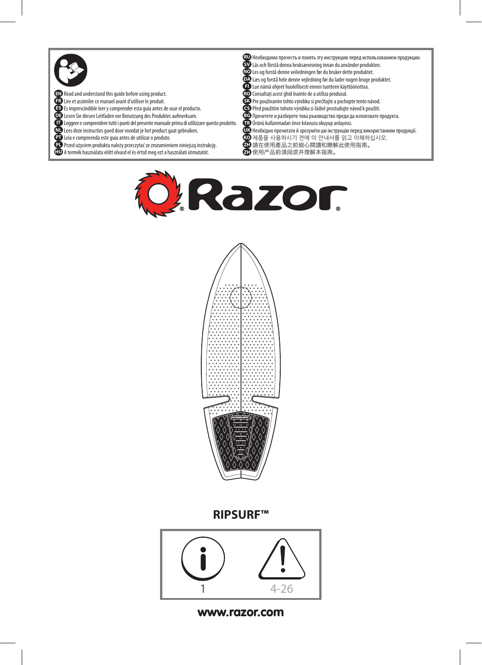## www.razor.com



## **RIPSURF™**





- **SV** Läs och förstå denna bruksanvisning innan du använder produkten. **NO** Les og forstå denne veiledningen før du bruker dette produktet. **DA** Læs og forstå hele denne vejledning før du lader nogen bruge produktet.
	-
	-
	-
	-
	-
	-
	- **FI** Lue nämä ohjeet huolellisesti ennen tuotteen käyttöönottoa.
	-
	- **RO** Consultaţi acest ghid înainte de a utiliza produsul.
	- **SK** Pre používaním tohto výrobku si prečítajte a pochopte tento návod.
		-
		-
		-
	- **CS** Před použitím tohoto výrobku si řádně prostudujte návod k použití.
	-
	- **BG** Прочетете и разберете това ръководство преди да използвате продукта.
		-
		-
		-
		-
		-
	- **TR** Ürünü kullanmadan önce kılavuzu okuyup anlayınız.

**RU** Необходимо прочесть и понять эту инструкцию перед использованием продукции.

- 
- 
- 
- 
- 
- 
- 
- 
- 
- 
- 
- 
- 
- 
- 
- 
- 
- 
- 
- 
- 
- 
- 
- 
- 
- UK Необхідно прочитати й зрозуміти цю інструкцію перед використанням продукції.<br>**KO** 제품을 사용하시기 전에 이 안내서를 읽고 이해하십시오.
- 
- - - **ZH** 補合員 시승하세가 단체 이 단체서를 읽고 하세하
- 
- **DE** Lesen Sie diesen Leitfaden vor Benutzung des Produktes aufmerksam. **IT** Leggere e comprendere tutti i punti del presente manuale prima di utilizzare questo prodotto. **NL** Lees deze instructies goed door voordat je het product gaat gebruiken.

**ES** Es imprescindible leer y comprender esta guía antes de usar el producto.

- 
- **PT** Leia e compreenda este guia antes de utilizar o produto. **PL** Przed użyciem produktu należy przeczytać ze zrozumieniem niniejszą instrukcję.
	-
- **HU** A termék használata előtt olvasd el és értsd meg ezt a használati útmutatót.
- **ZH** 使用产品前请阅读并理解本指南。
- **EN** Read and understand this guide before using product. **FR** Lire et assimiler ce manuel avant d'utiliser le produit.
-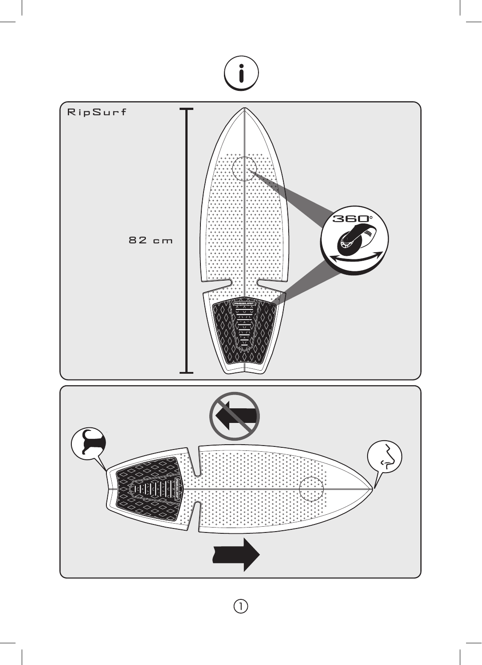



 $\odot$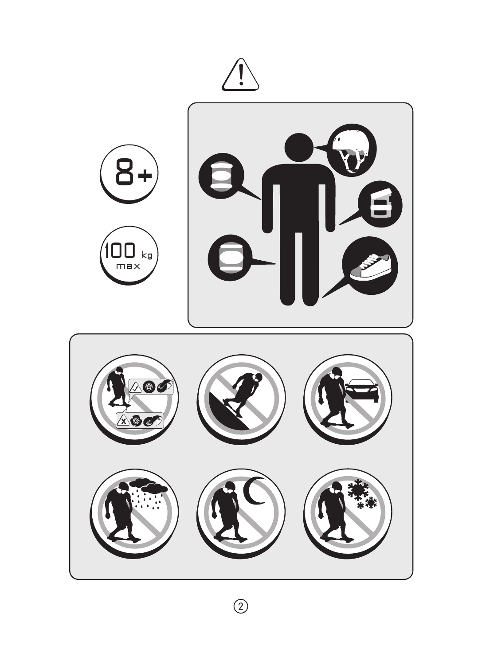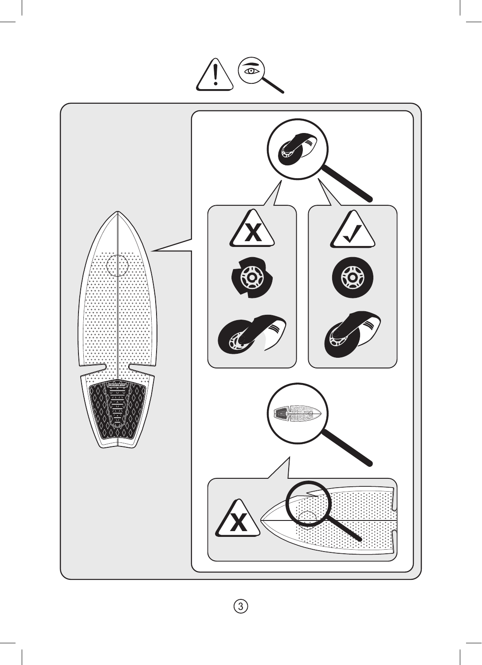

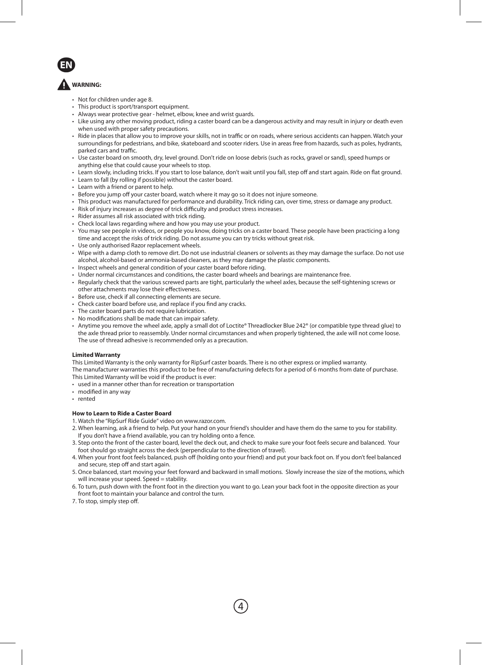

### **WARNING:**

- Not for children under age 8.
- This product is sport/transport equipment.
- Always wear protective gear helmet, elbow, knee and wrist guards.
- Like using any other moving product, riding a caster board can be a dangerous activity and may result in injury or death even when used with proper safety precautions.
- Ride in places that allow you to improve your skills, not in traffic or on roads, where serious accidents can happen. Watch your surroundings for pedestrians, and bike, skateboard and scooter riders. Use in areas free from hazards, such as poles, hydrants, parked cars and traffic.
- Use caster board on smooth, dry, level ground. Don't ride on loose debris (such as rocks, gravel or sand), speed humps or anything else that could cause your wheels to stop.
- Learn slowly, including tricks. If you start to lose balance, don't wait until you fall, step off and start again. Ride on flat ground.
- Learn to fall (by rolling if possible) without the caster board.
- Learn with a friend or parent to help.
- Before you jump off your caster board, watch where it may go so it does not injure someone.
- This product was manufactured for performance and durability. Trick riding can, over time, stress or damage any product.
- Risk of injury increases as degree of trick difficulty and product stress increases.
- Rider assumes all risk associated with trick riding.
- Check local laws regarding where and how you may use your product.
- You may see people in videos, or people you know, doing tricks on a caster board. These people have been practicing a long time and accept the risks of trick riding. Do not assume you can try tricks without great risk.
- Use only authorised Razor replacement wheels.
- Wipe with a damp cloth to remove dirt. Do not use industrial cleaners or solvents as they may damage the surface. Do not use alcohol, alcohol-based or ammonia-based cleaners, as they may damage the plastic components.
- Inspect wheels and general condition of your caster board before riding.
- Under normal circumstances and conditions, the caster board wheels and bearings are maintenance free.
- Regularly check that the various screwed parts are tight, particularly the wheel axles, because the self-tightening screws or other attachments may lose their effectiveness.
- Before use, check if all connecting elements are secure.
- Check caster board before use, and replace if you find any cracks.
- The caster board parts do not require lubrication.
- No modifications shall be made that can impair safety.
- Anytime you remove the wheel axle, apply a small dot of Loctite® Threadlocker Blue 242® (or compatible type thread glue) to the axle thread prior to reassembly. Under normal circumstances and when properly tightened, the axle will not come loose. The use of thread adhesive is recommended only as a precaution.

#### **Limited Warranty**

This Limited Warranty is the only warranty for RipSurf caster boards. There is no other express or implied warranty. The manufacturer warranties this product to be free of manufacturing defects for a period of 6 months from date of purchase. This Limited Warranty will be void if the product is ever:

- 
- used in a manner other than for recreation or transportation
- modified in any way
- rented

#### **How to Learn to Ride a Caster Board**

- 1. Watch the "RipSurf Ride Guide" video on www.razor.com.
- 2. When learning, ask a friend to help. Put your hand on your friend's shoulder and have them do the same to you for stability. If you don't have a friend available, you can try holding onto a fence.
- 3. Step onto the front of the caster board, level the deck out, and check to make sure your foot feels secure and balanced. Your foot should go straight across the deck (perpendicular to the direction of travel).
- 4. When your front foot feels balanced, push off (holding onto your friend) and put your back foot on. If you don't feel balanced and secure, step off and start again.
- 5. Once balanced, start moving your feet forward and backward in small motions. Slowly increase the size of the motions, which will increase your speed. Speed = stability.
- 6. To turn, push down with the front foot in the direction you want to go. Lean your back foot in the opposite direction as your front foot to maintain your balance and control the turn.
- 7. To stop, simply step off.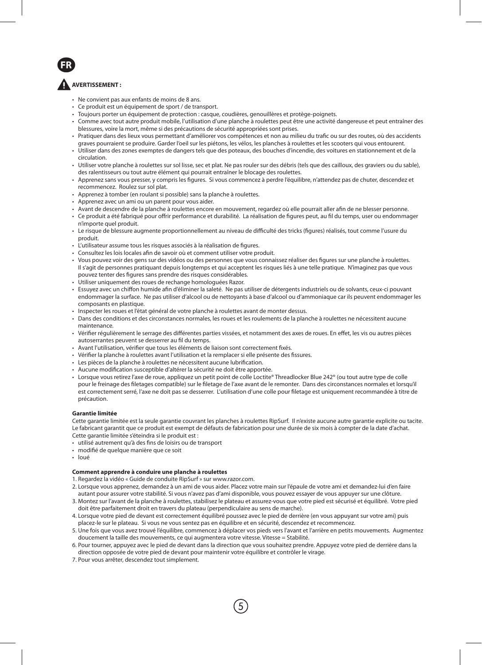## **AVERTISSEMENT :**

- Ne convient pas aux enfants de moins de 8 ans.
- Ce produit est un équipement de sport / de transport.
- Toujours porter un équipement de protection : casque, coudières, genouillères et protège-poignets.
- Comme avec tout autre produit mobile, l'utilisation d'une planche à roulettes peut être une activité dangereuse et peut entraîner des blessures, voire la mort, même si des précautions de sécurité appropriées sont prises.
- Pratiquer dans des lieux vous permettant d'améliorer vos compétences et non au milieu du trafic ou sur des routes, où des accidents graves pourraient se produire. Garder l'oeil sur les piétons, les vélos, les planches à roulettes et les scooters qui vous entourent.
- Utiliser dans des zones exemptes de dangers tels que des poteaux, des bouches d'incendie, des voitures en stationnement et de la circulation.
- Utiliser votre planche à roulettes sur sol lisse, sec et plat. Ne pas rouler sur des débris (tels que des cailloux, des graviers ou du sable), des ralentisseurs ou tout autre élément qui pourrait entraîner le blocage des roulettes.
- Apprenez sans vous presser, y compris les figures. Si vous commencez à perdre l'équilibre, n'attendez pas de chuter, descendez et recommencez. Roulez sur sol plat.
- Apprenez à tomber (en roulant si possible) sans la planche à roulettes.
- Apprenez avec un ami ou un parent pour vous aider.
- Avant de descendre de la planche à roulettes encore en mouvement, regardez où elle pourrait aller afin de ne blesser personne.
- Ce produit a été fabriqué pour offrir performance et durabilité. La réalisation de figures peut, au fil du temps, user ou endommager n'importe quel produit.
- Le risque de blessure augmente proportionnellement au niveau de difficulté des tricks (figures) réalisés, tout comme l'usure du produit.
- L'utilisateur assume tous les risques associés à la réalisation de figures.
- Consultez les lois locales afin de savoir où et comment utiliser votre produit.
- Vous pouvez voir des gens sur des vidéos ou des personnes que vous connaissez réaliser des figures sur une planche à roulettes. Il s'agit de personnes pratiquant depuis longtemps et qui acceptent les risques liés à une telle pratique. N'imaginez pas que vous pouvez tenter des figures sans prendre des risques considérables.
- Utiliser uniquement des roues de rechange homologuées Razor.
- Essuyez avec un chiffon humide afin d'éliminer la saleté. Ne pas utiliser de détergents industriels ou de solvants, ceux-ci pouvant endommager la surface. Ne pas utiliser d'alcool ou de nettoyants à base d'alcool ou d'ammoniaque car ils peuvent endommager les composants en plastique.
- Inspecter les roues et l'état général de votre planche à roulettes avant de monter dessus.
- Dans des conditions et des circonstances normales, les roues et les roulements de la planche à roulettes ne nécessitent aucune maintenance.
- Vérifier régulièrement le serrage des différentes parties vissées, et notamment des axes de roues. En effet, les vis ou autres pièces autoserrantes peuvent se desserrer au fil du temps.
- Avant l'utilisation, vérifier que tous les éléments de liaison sont correctement fixés.
- Vérifier la planche à roulettes avant l'utilisation et la remplacer si elle présente des fissures.
- Les pièces de la planche à roulettes ne nécessitent aucune lubrification.
- Aucune modification susceptible d'altérer la sécurité ne doit être apportée.
- Lorsque vous retirez l'axe de roue, appliquez un petit point de colle Loctite® Threadlocker Blue 242® (ou tout autre type de colle pour le freinage des filetages compatible) sur le filetage de l'axe avant de le remonter. Dans des circonstances normales et lorsqu'il est correctement serré, l'axe ne doit pas se desserrer. L'utilisation d'une colle pour filetage est uniquement recommandée à titre de précaution.

#### **Garantie limitée**

Cette garantie limitée est la seule garantie couvrant les planches à roulettes RipSurf. Il n'existe aucune autre garantie explicite ou tacite. Le fabricant garantit que ce produit est exempt de défauts de fabrication pour une durée de six mois à compter de la date d'achat. Cette garantie limitée s'éteindra si le produit est :

- utilisé autrement qu'à des fins de loisirs ou de transport
- modifié de quelque manière que ce soit
- loué

#### **Comment apprendre à conduire une planche à roulettes**

1. Regardez la vidéo « Guide de conduite RipSurf » sur www.razor.com.

2. Lorsque vous apprenez, demandez à un ami de vous aider. Placez votre main sur l'épaule de votre ami et demandez-lui d'en faire

- autant pour assurer votre stabilité. Si vous n'avez pas d'ami disponible, vous pouvez essayer de vous appuyer sur une clôture. 3. Montez sur l'avant de la planche à roulettes, stabilisez le plateau et assurez-vous que votre pied est sécurisé et équilibré. Votre pied doit être parfaitement droit en travers du plateau (perpendiculaire au sens de marche).
- 4. Lorsque votre pied de devant est correctement équilibré poussez avec le pied de derrière (en vous appuyant sur votre ami) puis placez-le sur le plateau. Si vous ne vous sentez pas en équilibre et en sécurité, descendez et recommencez.
- 5. Une fois que vous avez trouvé l'équilibre, commencez à déplacer vos pieds vers l'avant et l'arrière en petits mouvements. Augmentez doucement la taille des mouvements, ce qui augmentera votre vitesse. Vitesse = Stabilité.
- 6. Pour tourner, appuyez avec le pied de devant dans la direction que vous souhaitez prendre. Appuyez votre pied de derrière dans la direction opposée de votre pied de devant pour maintenir votre équilibre et contrôler le virage.

5

7. Pour vous arrêter, descendez tout simplement.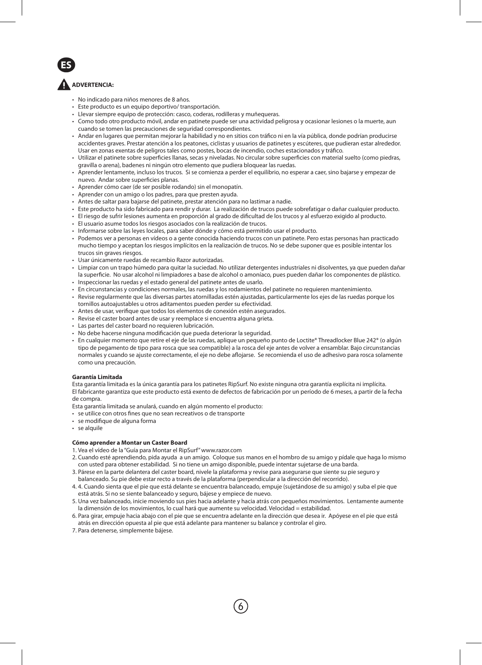## **ADVERTENCIA:**

- No indicado para niños menores de 8 años.
- Este producto es un equipo deportivo/ transportación.
- Llevar siempre equipo de protección: casco, coderas, rodilleras y muñequeras.
- Como todo otro producto móvil, andar en patinete puede ser una actividad peligrosa y ocasionar lesiones o la muerte, aun cuando se tomen las precauciones de seguridad correspondientes.
- Andar en lugares que permitan mejorar la habilidad y no en sitios con tráfico ni en la vía pública, donde podrían producirse accidentes graves. Prestar atención a los peatones, ciclistas y usuarios de patinetes y escúteres, que pudieran estar alrededor. Usar en zonas exentas de peligros tales como postes, bocas de incendio, coches estacionados y tráfico.
- Utilizar el patinete sobre superficies llanas, secas y niveladas. No circular sobre superficies con material suelto (como piedras, gravilla o arena), badenes ni ningún otro elemento que pudiera bloquear las ruedas.
- Aprender lentamente, incluso los trucos. Si se comienza a perder el equilibrio, no esperar a caer, sino bajarse y empezar de nuevo. Andar sobre superficies planas.
- Aprender cómo caer (de ser posible rodando) sin el monopatín.
- Aprender con un amigo o los padres, para que presten ayuda.
- Antes de saltar para bajarse del patinete, prestar atención para no lastimar a nadie.
- Este producto ha sido fabricado para rendir y durar. La realización de trucos puede sobrefatigar o dañar cualquier producto.
- El riesgo de sufrir lesiones aumenta en proporción al grado de dificultad de los trucos y al esfuerzo exigido al producto.
- El usuario asume todos los riesgos asociados con la realización de trucos.
- Informarse sobre las leyes locales, para saber dónde y cómo está permitido usar el producto.
- Podemos ver a personas en vídeos o a gente conocida haciendo trucos con un patinete. Pero estas personas han practicado mucho tiempo y aceptan los riesgos implícitos en la realización de trucos. No se debe suponer que es posible intentar los trucos sin graves riesgos.
- Usar únicamente ruedas de recambio Razor autorizadas.
- Limpiar con un trapo húmedo para quitar la suciedad. No utilizar detergentes industriales ni disolventes, ya que pueden dañar la superficie. No usar alcohol ni limpiadores a base de alcohol o amoníaco, pues pueden dañar los componentes de plástico.
- Inspeccionar las ruedas y el estado general del patinete antes de usarlo.
- En circunstancias y condiciones normales, las ruedas y los rodamientos del patinete no requieren mantenimiento.
- Revise regularmente que las diversas partes atornilladas estén ajustadas, particularmente los ejes de las ruedas porque los tornillos autoajustables u otros aditamentos pueden perder su efectividad.
- Antes de usar, verifique que todos los elementos de conexión estén asegurados.
- Revise el caster board antes de usar y reemplace si encuentra alguna grieta.
- Las partes del caster board no requieren lubricación.
- No debe hacerse ninguna modificación que pueda deteriorar la seguridad.
- En cualquier momento que retire el eje de las ruedas, aplique un pequeño punto de Loctite® Threadlocker Blue 242® (o algún tipo de pegamento de tipo para rosca que sea compatible) a la rosca del eje antes de volver a ensamblar. Bajo circunstancias normales y cuando se ajuste correctamente, el eje no debe aflojarse. Se recomienda el uso de adhesivo para rosca solamente como una precaución.

#### **Garantía Limitada**

Esta garantía limitada es la única garantía para los patinetes RipSurf. No existe ninguna otra garantía explícita ni implícita. El fabricante garantiza que este producto está exento de defectos de fabricación por un período de 6 meses, a partir de la fecha de compra.

- Esta garantía limitada se anulará, cuando en algún momento el producto:
- se utilice con otros fines que no sean recreativos o de transporte
- se modifique de alguna forma
- se alquile

#### **Cómo aprender a Montar un Caster Board**

1. Vea el vídeo de la "Guía para Montar el RipSurf" www.razor.com

- 2. Cuando esté aprendiendo, pida ayuda a un amigo. Coloque sus manos en el hombro de su amigo y pídale que haga lo mismo con usted para obtener estabilidad. Si no tiene un amigo disponible, puede intentar sujetarse de una barda.
- 3. Párese en la parte delantera del caster board, nivele la plataforma y revise para asegurarse que siente su pie seguro y balanceado. Su pie debe estar recto a través de la plataforma (perpendicular a la dirección del recorrido).
- 4. 4. Cuando sienta que el pie que está delante se encuentra balanceado, empuje (sujetándose de su amigo) y suba el pie que está atrás. Si no se siente balanceado y seguro, bájese y empiece de nuevo.
- 5. Una vez balanceado, inicie moviendo sus pies hacia adelante y hacia atrás con pequeños movimientos. Lentamente aumente la dimensión de los movimientos, lo cual hará que aumente su velocidad. Velocidad = estabilidad.
- 6. Para girar, empuje hacia abajo con el pie que se encuentra adelante en la dirección que desea ir. Apóyese en el pie que está atrás en dirección opuesta al pie que está adelante para mantener su balance y controlar el giro.

6

7. Para detenerse, simplemente bájese.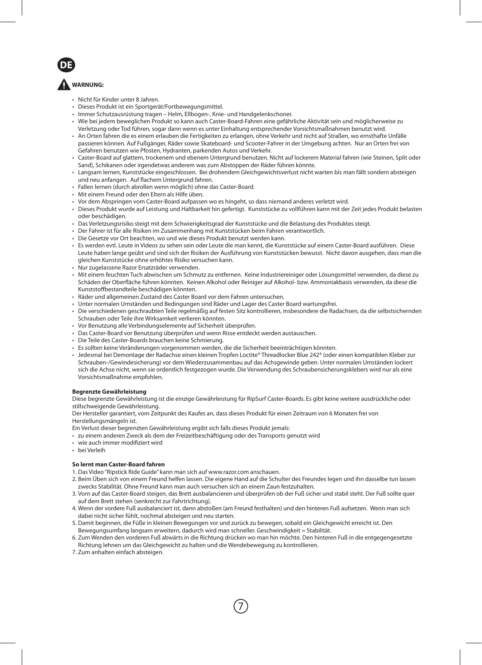

### **WARNUNG:**

- Nicht für Kinder unter 8 Jahren.
- Dieses Produkt ist ein Sportgerät/Fortbewegungsmittel.
- Immer Schutzausrüstung tragen Helm, Ellbogen-, Knie- und Handgelenkschoner.
- Wie bei jedem beweglichen Produkt so kann auch Caster-Board-Fahren eine gefährliche Aktivität sein und möglicherweise zu Verletzung oder Tod führen, sogar dann wenn es unter Einhaltung entsprechender Vorsichtsmaßnahmen benutzt wird.
- An Orten fahren die es einem erlauben die Fertigkeiten zu erlangen, ohne Verkehr und nicht auf Straßen, wo ernsthafte Unfälle passieren können. Auf Fußgänger, Räder sowie Skateboard- und Scooter-Fahrer in der Umgebung achten. Nur an Orten frei von Gefahren benutzen wie Pfosten, Hydranten, parkenden Autos und Verkehr.
- Caster-Board auf glattem, trockenem und ebenem Untergrund benutzen. Nicht auf lockerem Material fahren (wie Steinen, Split oder Sand), Schikanen oder irgendetwas anderem was zum Abstoppen der Räder führen könnte.
- Langsam lernen, Kunststücke eingeschlossen. Bei drohendem Gleichgewichtsverlust nicht warten bis man fällt sondern absteigen und neu anfangen. Auf flachem Untergrund fahren.
- Fallen lernen (durch abrollen wenn möglich) ohne das Caster-Board.
- Mit einem Freund oder den Eltern als Hilfe üben.
- Vor dem Abspringen vom Caster-Board aufpassen wo es hingeht, so dass niemand anderes verletzt wird.
- Dieses Produkt wurde auf Leistung und Haltbarkeit hin gefertigt. Kunststücke zu vollführen kann mit der Zeit jedes Produkt belasten oder beschädigen.
- Das Verletzungsrisiko steigt mit dem Schwierigkeitsgrad der Kunststücke und die Belastung des Produktes steigt.
- Der Fahrer ist für alle Risiken im Zusammenhang mit Kunststücken beim Fahren verantwortlich.
- Die Gesetze vor Ort beachten, wo und wie dieses Produkt benutzt werden kann.
- Es werden evtl. Leute in Videos zu sehen sein oder Leute die man kennt, die Kunststücke auf einem Caster-Board ausführen. Diese Leute haben lange geübt und sind sich der Risiken der Ausführung von Kunststücken bewusst. Nicht davon ausgehen, dass man die gleichen Kunststücke ohne erhöhtes Risiko versuchen kann.
- Nur zugelassene Razor Ersatzräder verwenden.
- Mit einem feuchten Tuch abwischen um Schmutz zu entfernen. Keine Industriereiniger oder Lösungsmittel verwenden, da diese zu Schäden der Oberfläche führen könnten. Keinen Alkohol oder Reiniger auf Alkohol- bzw. Ammoniakbasis verwenden, da diese die Kunststoffbestandteile beschädigen könnten.
- Räder und allgemeinen Zustand des Caster Board vor dem Fahren untersuchen.
- Unter normalen Umständen und Bedingungen sind Räder und Lager des Caster Board wartungsfrei.
- Die verschiedenen geschraubten Teile regelmäßig auf festen Sitz kontrollieren, insbesondere die Radachsen, da die selbstsichernden
- Schrauben oder Teile ihre Wirksamkeit verlieren könnten.
- Vor Benutzung alle Verbindungselemente auf Sicherheit überprüfen.
- Das Caster-Board vor Benutzung überprüfen und wenn Risse entdeckt werden austauschen.
- Die Teile des Caster-Boards brauchen keine Schmierung.
- Es sollten keine Veränderungen vorgenommen werden, die die Sicherheit beeinträchtigen könnten.
- Jedesmal bei Demontage der Radachse einen kleinen Tropfen Loctite® Threadlocker Blue 242® (oder einen kompatiblen Kleber zur Schrauben-/Gewindesicherung) vor dem Wiederzusammenbau auf das Achsgewinde geben. Unter normalen Umständen lockert sich die Achse nicht, wenn sie ordentlich festgezogen wurde. Die Verwendung des Schraubensicherungsklebers wird nur als eine Vorsichtsmaßnahme empfohlen.

#### **Begrenzte Gewährleistung**

Diese begrenzte Gewährleistung ist die einzige Gewährleistung für RipSurf Caster-Boards. Es gibt keine weitere ausdrückliche oder stillschweigende Gewährleistung. Der Hersteller garantiert, vom Zeitpunkt des Kaufes an, dass dieses Produkt für einen Zeitraum von 6 Monaten frei von

Herstellungsmängeln ist.

Ein Verlust dieser begrenzten Gewährleistung ergibt sich falls dieses Produkt jemals:

- zu einem anderen Zweck als dem der Freizeitbeschäftigung oder des Transports genutzt wird
- wie auch immer modifiziert wird
- bei Verleih

#### **So lernt man Caster-Board fahren**

1. Das Video "Ripstick Ride Guide" kann man sich auf www.razor.com anschauen.

- 2. Beim Üben sich von einem Freund helfen lassen. Die eigene Hand auf die Schulter des Freundes legen und ihn dasselbe tun lassen zwecks Stabilität. Ohne Freund kann man auch versuchen sich an einem Zaun festzuhalten.
- 3. Vorn auf das Caster-Board steigen, das Brett ausbalancieren und überprüfen ob der Fuß sicher und stabil steht. Der Fuß sollte quer auf dem Brett stehen (senkrecht zur Fahrtrichtung).
- 4. Wenn der vordere Fuß ausbalanciert ist, dann abstoßen (am Freund festhalten) und den hinteren Fuß aufsetzen. Wenn man sich dabei nicht sicher fühlt, nochmal absteigen und neu starten.
- 5. Damit beginnen, die Füße in kleinen Bewegungen vor und zurück zu bewegen, sobald ein Gleichgewicht erreicht ist. Den Bewegungsumfang langsam erweitern, dadurch wird man schneller. Geschwindigkeit = Stabilität.
- 6. Zum Wenden den vorderen Fuß abwärts in die Richtung drücken wo man hin möchte. Den hinteren Fuß in die entgegengesetzte Richtung lehnen um das Gleichgewicht zu halten und die Wendebewegung zu kontrollieren.

7

7. Zum anhalten einfach absteigen.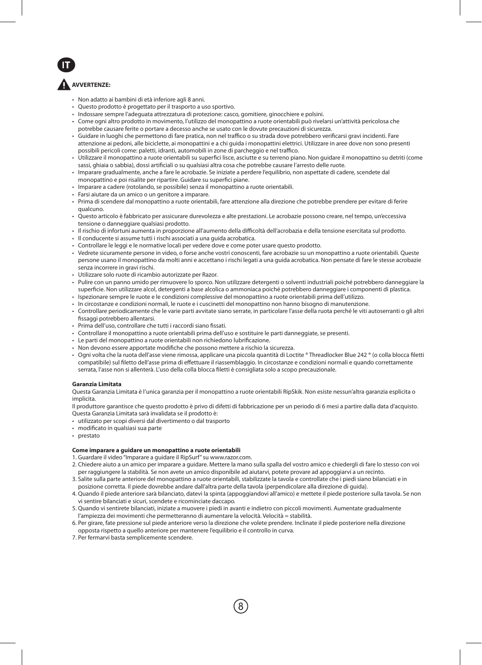

- Non adatto ai bambini di età inferiore agli 8 anni.
- Questo prodotto è progettato per il trasporto a uso sportivo.
- Indossare sempre l'adeguata attrezzatura di protezione: casco, gomitiere, ginocchiere e polsini.
- Come ogni altro prodotto in movimento, l'utilizzo del monopattino a ruote orientabili può rivelarsi un'attività pericolosa che potrebbe causare ferite o portare a decesso anche se usato con le dovute precauzioni di sicurezza.
- Guidare in luoghi che permettono di fare pratica, non nel traffico o su strada dove potrebbero verificarsi gravi incidenti. Fare attenzione ai pedoni, alle biciclette, ai monopattini e a chi guida i monopattini elettrici. Utilizzare in aree dove non sono presenti possibili pericoli come: paletti, idranti, automobili in zone di parcheggio e nel traffico.
- Utilizzare il monopattino a ruote orientabili su superfici lisce, asciutte e su terreno piano. Non guidare il monopattino su detriti (come sassi, ghiaia o sabbia), dossi artificiali o su qualsiasi altra cosa che potrebbe causare l'arresto delle ruote.
- Imparare gradualmente, anche a fare le acrobazie. Se iniziate a perdere l'equilibrio, non aspettate di cadere, scendete dal monopattino e poi risalite per ripartire. Guidare su superfici piane.
- Imparare a cadere (rotolando, se possibile) senza il monopattino a ruote orientabili.
- Farsi aiutare da un amico o un genitore a imparare.
- Prima di scendere dal monopattino a ruote orientabili, fare attenzione alla direzione che potrebbe prendere per evitare di ferire qualcuno.
- Questo articolo è fabbricato per assicurare durevolezza e alte prestazioni. Le acrobazie possono creare, nel tempo, un'eccessiva tensione o danneggiare qualsiasi prodotto.
- Il rischio di infortuni aumenta in proporzione all'aumento della difficoltà dell'acrobazia e della tensione esercitata sul prodotto.
- Il conducente si assume tutti i rischi associati a una guida acrobatica.
- Controllare le leggi e le normative locali per vedere dove e come poter usare questo prodotto.
- Vedrete sicuramente persone in video, o forse anche vostri conoscenti, fare acrobazie su un monopattino a ruote orientabili. Queste persone usano il monopattino da molti anni e accettano i rischi legati a una guida acrobatica. Non pensate di fare le stesse acrobazie senza incorrere in gravi rischi.
- Utilizzare solo ruote di ricambio autorizzate per Razor.
- Pulire con un panno umido per rimuovere lo sporco. Non utilizzare detergenti o solventi industriali poiché potrebbero danneggiare la superficie. Non utilizzare alcol, detergenti a base alcolica o ammoniaca poiché potrebbero danneggiare i componenti di plastica.
- Ispezionare sempre le ruote e le condizioni complessive del monopattino a ruote orientabili prima dell'utilizzo.
- In circostanze e condizioni normali, le ruote e i cuscinetti del monopattino non hanno bisogno di manutenzione.
- Controllare periodicamente che le varie parti avvitate siano serrate, in particolare l'asse della ruota perché le viti autoserranti o gli altri fissaggi potrebbero allentarsi.
- Prima dell'uso, controllare che tutti i raccordi siano fissati.
- Controllare il monopattino a ruote orientabili prima dell'uso e sostituire le parti danneggiate, se presenti.
- Le parti del monopattino a ruote orientabili non richiedono lubrificazione.
- Non devono essere apportate modifiche che possono mettere a rischio la sicurezza.
- Ogni volta che la ruota dell'asse viene rimossa, applicare una piccola quantità di Loctite ® Threadlocker Blue 242 ® (o colla blocca filetti compatibile) sul filetto dell'asse prima di effettuare il riassemblaggio. In circostanze e condizioni normali e quando correttamente serrata, l'asse non si allenterà. L'uso della colla blocca filetti è consigliata solo a scopo precauzionale.

#### **Garanzia Limitata**

Questa Garanzia Limitata è l'unica garanzia per il monopattino a ruote orientabili RipSkik. Non esiste nessun'altra garanzia esplicita o implicita.

Il produttore garantisce che questo prodotto è privo di difetti di fabbricazione per un periodo di 6 mesi a partire dalla data d'acquisto. Questa Garanzia Limitata sarà invalidata se il prodotto è:

- utilizzato per scopi diversi dal divertimento o dal trasporto
- modificato in qualsiasi sua parte
- prestato

#### **Come imparare a guidare un monopattino a ruote orientabili**

1. Guardare il video "Imparare a guidare il RipSurf" su www.razor.com.

- 2. Chiedere aiuto a un amico per imparare a guidare. Mettere la mano sulla spalla del vostro amico e chiedergli di fare lo stesso con voi per raggiungere la stabilità. Se non avete un amico disponibile ad aiutarvi, potete provare ad appoggiarvi a un recinto.
- 3. Salite sulla parte anteriore del monopattino a ruote orientabili, stabilizzate la tavola e controllate che i piedi siano bilanciati e in posizione corretta. Il piede dovrebbe andare dall'altra parte della tavola (perpendicolare alla direzione di guida).
- 4. Quando il piede anteriore sarà bilanciato, datevi la spinta (appoggiandovi all'amico) e mettete il piede posteriore sulla tavola. Se non vi sentire bilanciati e sicuri, scendete e ricominciate daccapo.
- 5. Quando vi sentirete bilanciati, iniziate a muovere i piedi in avanti e indietro con piccoli movimenti. Aumentate gradualmente l'ampiezza dei movimenti che permetteranno di aumentare la velocità. Velocità = stabilità.
- 6. Per girare, fate pressione sul piede anteriore verso la direzione che volete prendere. Inclinate il piede posteriore nella direzione opposta rispetto a quello anteriore per mantenere l'equilibrio e il controllo in curva.

8

7. Per fermarvi basta semplicemente scendere.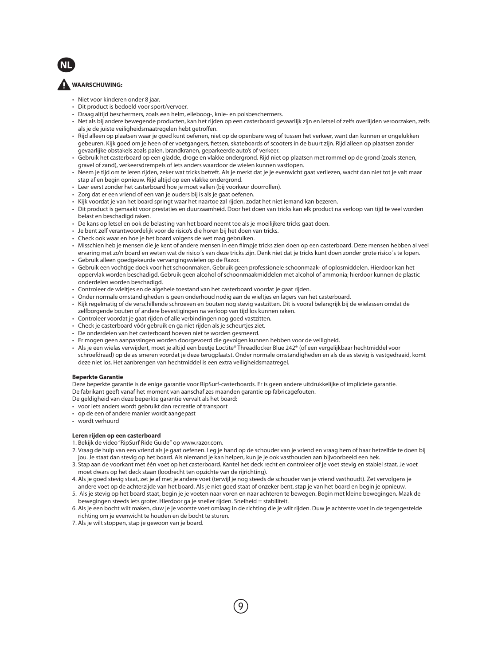

- Niet voor kinderen onder 8 jaar.
- Dit product is bedoeld voor sport/vervoer.
- Draag altijd beschermers, zoals een helm, elleboog-, knie- en polsbeschermers.
- Net als bij andere bewegende producten, kan het rijden op een casterboard gevaarlijk zijn en letsel of zelfs overlijden veroorzaken, zelfs als je de juiste veiligheidsmaatregelen hebt getroffen.
- Rijd alleen op plaatsen waar je goed kunt oefenen, niet op de openbare weg of tussen het verkeer, want dan kunnen er ongelukken gebeuren. Kijk goed om je heen of er voetgangers, fietsen, skateboards of scooters in de buurt zijn. Rijd alleen op plaatsen zonder gevaarlijke obstakels zoals palen, brandkranen, geparkeerde auto's of verkeer.
- Gebruik het casterboard op een gladde, droge en vlakke ondergrond. Rijd niet op plaatsen met rommel op de grond (zoals stenen, gravel of zand), verkeersdrempels of iets anders waardoor de wielen kunnen vastlopen.
- Neem je tijd om te leren rijden, zeker wat tricks betreft. Als je merkt dat je je evenwicht gaat verliezen, wacht dan niet tot je valt maar stap af en begin opnieuw. Rijd altijd op een vlakke ondergrond.
- Leer eerst zonder het casterboard hoe je moet vallen (bij voorkeur doorrollen).
- Zorg dat er een vriend of een van je ouders bij is als je gaat oefenen.
- Kijk voordat je van het board springt waar het naartoe zal rijden, zodat het niet iemand kan bezeren.
- Dit product is gemaakt voor prestaties en duurzaamheid. Door het doen van tricks kan elk product na verloop van tijd te veel worden belast en beschadigd raken.
- De kans op letsel en ook de belasting van het board neemt toe als je moeilijkere tricks gaat doen.
- Je bent zelf verantwoordelijk voor de risico's die horen bij het doen van tricks.
- Check ook waar en hoe je het board volgens de wet mag gebruiken.
- Misschien heb je mensen die je kent of andere mensen in een filmpje tricks zien doen op een casterboard. Deze mensen hebben al veel ervaring met zo'n board en weten wat de risico´s van deze tricks zijn. Denk niet dat je tricks kunt doen zonder grote risico´s te lopen.
- Gebruik alleen goedgekeurde vervangingswielen op de Razor.
- Gebruik een vochtige doek voor het schoonmaken. Gebruik geen professionele schoonmaak- of oplosmiddelen. Hierdoor kan het oppervlak worden beschadigd. Gebruik geen alcohol of schoonmaakmiddelen met alcohol of ammonia; hierdoor kunnen de plastic onderdelen worden beschadigd.
- Controleer de wieltjes en de algehele toestand van het casterboard voordat je gaat rijden.
- Onder normale omstandigheden is geen onderhoud nodig aan de wieltjes en lagers van het casterboard.
- Kijk regelmatig of de verschillende schroeven en bouten nog stevig vastzitten. Dit is vooral belangrijk bij de wielassen omdat de zelfborgende bouten of andere bevestigingen na verloop van tijd los kunnen raken.
- Controleer voordat je gaat rijden of alle verbindingen nog goed vastzitten.
- Check je casterboard vóór gebruik en ga niet rijden als je scheurtjes ziet.
- De onderdelen van het casterboard hoeven niet te worden gesmeerd.
- Er mogen geen aanpassingen worden doorgevoerd die gevolgen kunnen hebben voor de veiligheid.
- Als je een wielas verwijdert, moet je altijd een beetje Loctite® Threadlocker Blue 242® (of een vergelijkbaar hechtmiddel voor schroefdraad) op de as smeren voordat je deze terugplaatst. Onder normale omstandigheden en als de as stevig is vastgedraaid, komt deze niet los. Het aanbrengen van hechtmiddel is een extra veiligheidsmaatregel.

#### **Beperkte Garantie**

Deze beperkte garantie is de enige garantie voor RipSurf-casterboards. Er is geen andere uitdrukkelijke of impliciete garantie. De fabrikant geeft vanaf het moment van aanschaf zes maanden garantie op fabricagefouten.

- De geldigheid van deze beperkte garantie vervalt als het board:
- voor iets anders wordt gebruikt dan recreatie of transport
- op de een of andere manier wordt aangepast
- wordt verhuurd

### **Leren rijden op een casterboard**

1. Bekijk de video "RipSurf Ride Guide" op www.razor.com.

- 2. Vraag de hulp van een vriend als je gaat oefenen. Leg je hand op de schouder van je vriend en vraag hem of haar hetzelfde te doen bij jou. Je staat dan stevig op het board. Als niemand je kan helpen, kun je je ook vasthouden aan bijvoorbeeld een hek.
- 3. Stap aan de voorkant met één voet op het casterboard. Kantel het deck recht en controleer of je voet stevig en stabiel staat. Je voet moet dwars op het deck staan (loodrecht ten opzichte van de rijrichting).
- 4. Als je goed stevig staat, zet je af met je andere voet (terwijl je nog steeds de schouder van je vriend vasthoudt). Zet vervolgens je andere voet op de achterzijde van het board. Als je niet goed staat of onzeker bent, stap je van het board en begin je opnieuw.
- 5. Als je stevig op het board staat, begin je je voeten naar voren en naar achteren te bewegen. Begin met kleine bewegingen. Maak de bewegingen steeds iets groter. Hierdoor ga je sneller rijden. Snelheid = stabiliteit.
- 6. Als je een bocht wilt maken, duw je je voorste voet omlaag in de richting die je wilt rijden. Duw je achterste voet in de tegengestelde richting om je evenwicht te houden en de bocht te sturen.
- 7. Als je wilt stoppen, stap je gewoon van je board.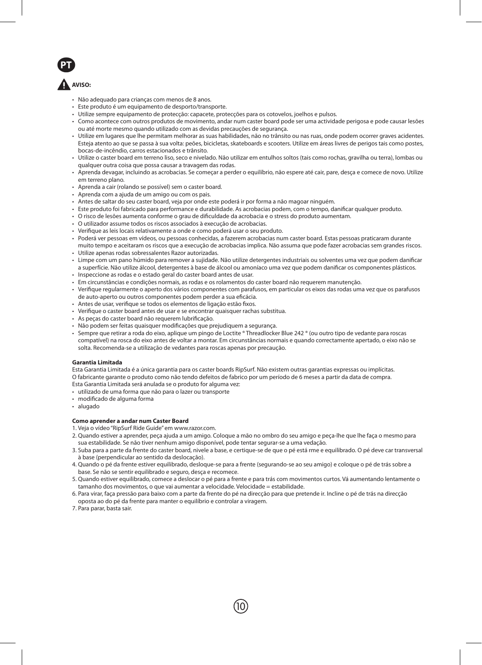

## **AVISO:**

- Não adequado para crianças com menos de 8 anos.
- Este produto é um equipamento de desporto/transporte.
- Utilize sempre equipamento de protecção: capacete, protecções para os cotovelos, joelhos e pulsos.
- Como acontece com outros produtos de movimento, andar num caster board pode ser uma actividade perigosa e pode causar lesões ou até morte mesmo quando utilizado com as devidas precauções de segurança.
- Utilize em lugares que lhe permitam melhorar as suas habilidades, não no trânsito ou nas ruas, onde podem ocorrer graves acidentes. Esteja atento ao que se passa à sua volta: peões, bicicletas, skateboards e scooters. Utilize em áreas livres de perigos tais como postes, bocas-de-incêndio, carros estacionados e trânsito.
- Utilize o caster board em terreno liso, seco e nivelado. Não utilizar em entulhos soltos (tais como rochas, gravilha ou terra), lombas ou qualquer outra coisa que possa causar a travagem das rodas.
- Aprenda devagar, incluindo as acrobacias. Se começar a perder o equilíbrio, não espere até cair, pare, desça e comece de novo. Utilize em terreno plano.
- Aprenda a cair (rolando se possível) sem o caster board.
- Aprenda com a ajuda de um amigo ou com os pais.
- Antes de saltar do seu caster board, veja por onde este poderá ir por forma a não magoar ninguém.
- Este produto foi fabricado para performance e durabilidade. As acrobacias podem, com o tempo, danificar qualquer produto.
- O risco de lesões aumenta conforme o grau de dificuldade da acrobacia e o stress do produto aumentam.
- O utilizador assume todos os riscos associados à execução de acrobacias.
- Verifique as leis locais relativamente a onde e como poderá usar o seu produto.
- Poderá ver pessoas em vídeos, ou pessoas conhecidas, a fazerem acrobacias num caster board. Estas pessoas praticaram durante muito tempo e aceitaram os riscos que a execução de acrobacias implica. Não assuma que pode fazer acrobacias sem grandes riscos.
- Utilize apenas rodas sobressalentes Razor autorizadas.
- Limpe com um pano húmido para remover a sujidade. Não utilize detergentes industriais ou solventes uma vez que podem danificar a superfície. Não utilize álcool, detergentes à base de álcool ou amoníaco uma vez que podem danificar os componentes plásticos.
- Inspeccione as rodas e o estado geral do caster board antes de usar.
- Em circunstâncias e condições normais, as rodas e os rolamentos do caster board não requerem manutenção.
- Verifique regularmente o aperto dos vários componentes com parafusos, em particular os eixos das rodas uma vez que os parafusos de auto-aperto ou outros componentes podem perder a sua eficácia.
- Antes de usar, verifique se todos os elementos de ligação estão fixos.
- Verifique o caster board antes de usar e se encontrar quaisquer rachas substitua.
- As peças do caster board não requerem lubrificação.
- Não podem ser feitas quaisquer modificações que prejudiquem a segurança.
- Sempre que retirar a roda do eixo, aplique um pingo de Loctite ® Threadlocker Blue 242 ® (ou outro tipo de vedante para roscas compatível) na rosca do eixo antes de voltar a montar. Em circunstâncias normais e quando correctamente apertado, o eixo não se solta. Recomenda-se a utilização de vedantes para roscas apenas por precaução.

#### **Garantia Limitada**

Esta Garantia Limitada é a única garantia para os caster boards RipSurf. Não existem outras garantias expressas ou implícitas. O fabricante garante o produto como não tendo defeitos de fabrico por um período de 6 meses a partir da data de compra. Esta Garantia Limitada será anulada se o produto for alguma vez:

- utilizado de uma forma que não para o lazer ou transporte
- modificado de alguma forma
- alugado

#### **Como aprender a andar num Caster Board**

1. Veja o vídeo "RipSurf Ride Guide" em www.razor.com.

- 2. Quando estiver a aprender, peça ajuda a um amigo. Coloque a mão no ombro do seu amigo e peça-lhe que lhe faça o mesmo para sua estabilidade. Se não tiver nenhum amigo disponível, pode tentar segurar-se a uma vedação.
- 3. Suba para a parte da frente do caster board, nivele a base, e certique-se de que o pé está rme e equilibrado. O pé deve car transversal à base (perpendicular ao sentido da deslocação).
- 4. Quando o pé da frente estiver equilibrado, desloque-se para a frente (segurando-se ao seu amigo) e coloque o pé de trás sobre a base. Se não se sentir equilibrado e seguro, desça e recomece.
- 5. Quando estiver equilibrado, comece a deslocar o pé para a frente e para trás com movimentos curtos. Vá aumentando lentamente o tamanho dos movimentos, o que vai aumentar a velocidade. Velocidade = estabilidade.
- 6. Para virar, faça pressão para baixo com a parte da frente do pé na direcção para que pretende ir. Incline o pé de trás na direcção oposta ao do pé da frente para manter o equilíbrio e controlar a viragem.

10

7. Para parar, basta sair.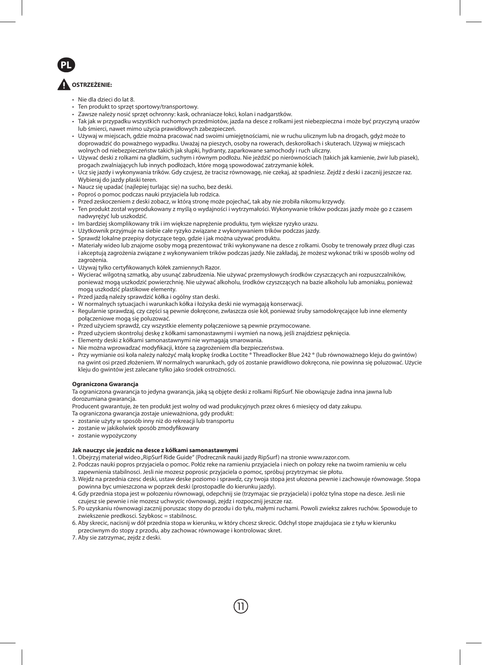# **OSTRZEŻENIE:**

- Nie dla dzieci do lat 8.
- Ten produkt to sprzęt sportowy/transportowy.
- Zawsze należy nosić sprzęt ochronny: kask, ochraniacze łokci, kolan i nadgarstków.
- Tak jak w przypadku wszystkich ruchomych przedmiotów, jazda na desce z rolkami jest niebezpieczna i może być przyczyną urazów lub śmierci, nawet mimo użycia prawidłowych zabezpieczeń.
- Używaj w miejscach, gdzie można pracować nad swoimi umiejętnościami, nie w ruchu ulicznym lub na drogach, gdyż może to doprowadzić do poważnego wypadku. Uważaj na pieszych, osoby na rowerach, deskorolkach i skuterach. Używaj w miejscach wolnych od niebezpieczeństw takich jak słupki, hydranty, zaparkowane samochody i ruch uliczny.
- Używać deski z rolkami na gładkim, suchym i równym podłożu. Nie jeździć po nierównościach (takich jak kamienie, żwir lub piasek), progach zwalniających lub innych podłożach, które mogą spowodować zatrzymanie kółek.
- Ucz się jazdy i wykonywania trików. Gdy czujesz, że tracisz równowagę, nie czekaj, aż spadniesz. Zejdź z deski i zacznij jeszcze raz. Wybieraj do jazdy płaski teren.
- Naucz się upadać (najlepiej turlając się) na sucho, bez deski.
- Poproś o pomoc podczas nauki przyjaciela lub rodzica.
- Przed zeskoczeniem z deski zobacz, w którą stronę może pojechać, tak aby nie zrobiła nikomu krzywdy.
- Ten produkt został wyprodukowany z myślą o wydajności i wytrzymałości. Wykonywanie trików podczas jazdy może go z czasem nadwyrężyć lub uszkodzić.
- Im bardziej skomplikowany trik i im większe naprężenie produktu, tym większe ryzyko urazu.
- Użytkownik przyjmuje na siebie całe ryzyko związane z wykonywaniem trików podczas jazdy.
- Sprawdź lokalne przepisy dotyczące tego, gdzie i jak można używać produktu.
- Materiały wideo lub znajome osoby mogą prezentować triki wykonywane na desce z rolkami. Osoby te trenowały przez długi czas i akceptują zagrożenia związane z wykonywaniem trików podczas jazdy. Nie zakładaj, że możesz wykonać triki w sposób wolny od zagrożenia.
- Używaj tylko certyfikowanych kółek zamiennych Razor.
- Wycierać wilgotną szmatką, aby usunąć zabrudzenia. Nie używać przemysłowych środków czyszczących ani rozpuszczalników, ponieważ mogą uszkodzić powierzchnię. Nie używać alkoholu, środków czyszczących na bazie alkoholu lub amoniaku, ponieważ mogą uszkodzić plastikowe elementy.
- Przed jazdą należy sprawdzić kółka i ogólny stan deski.
- W normalnych sytuacjach i warunkach kółka i łożyska deski nie wymagają konserwacji.
- Regularnie sprawdzaj, czy części są pewnie dokręcone, zwłaszcza osie kół, ponieważ śruby samodokręcające lub inne elementy połączeniowe mogą się poluzować.
- Przed użyciem sprawdź, czy wszystkie elementy połączeniowe są pewnie przymocowane.
- Przed użyciem skontroluj deskę z kółkami samonastawnymi i wymień na nową, jeśli znajdziesz pęknięcia.
- Elementy deski z kółkami samonastawnymi nie wymagają smarowania.
- Nie można wprowadzać modyfikacji, które są zagrożeniem dla bezpieczeństwa.
- Przy wymianie osi koła należy nałożyć małą kropkę środka Loctite ® Threadlocker Blue 242 ® (lub równoważnego kleju do gwintów) na gwint osi przed złożeniem. W normalnych warunkach, gdy oś zostanie prawidłowo dokręcona, nie powinna się poluzować. Użycie kleju do gwintów jest zalecane tylko jako środek ostrożności.

#### **Ograniczona Gwarancja**

Ta ograniczona gwarancja to jedyna gwarancja, jaką są objęte deski z rolkami RipSurf. Nie obowiązuje żadna inna jawna lub dorozumiana gwarancja.

Producent gwarantuje, że ten produkt jest wolny od wad produkcyjnych przez okres 6 miesięcy od daty zakupu.

- Ta ograniczona gwarancja zostaje unieważniona, gdy produkt:
- zostanie użyty w sposób inny niż do rekreacji lub transportu
- zostanie w jakikolwiek sposób zmodyfikowany
- zostanie wypożyczony

#### **Jak nauczyc sie jezdzic na desce z kółkami samonastawnymi**

1. Obejrzyj materiał wideo "RipSurf Ride Guide" (Podrecznik nauki jazdy RipSurf) na stronie www.razor.com.

- 2. Podczas nauki popros przyjaciela o pomoc. Połóz reke na ramieniu przyjaciela i niech on połozy reke na twoim ramieniu w celu zapewnienia stabilnosci. Jesli nie mozesz poprosic przyjaciela o pomoc, spróbuj przytrzymac sie płotu.
- 3. Wejdz na przednia czesc deski, ustaw deske poziomo i sprawdz, czy twoja stopa jest ułozona pewnie i zachowuje równowage. Stopa powinna byc umieszczona w poprzek deski (prostopadle do kierunku jazdy).
- 4. Gdy przednia stopa jest w połozeniu równowagi, odepchnij sie (trzymajac sie przyjaciela) i połóz tylna stope na desce. Jesli nie czujesz sie pewnie i nie mozesz uchwycic równowagi, zejdz i rozpocznij jeszcze raz.
- 5. Po uzyskaniu równowagi zacznij poruszac stopy do przodu i do tyłu, małymi ruchami. Powoli zwieksz zakres ruchów. Spowoduje to zwiekszenie predkosci. Szybkosc = stabilnosc.
- 6. Aby skrecic, nacisnij w dół przednia stopa w kierunku, w który chcesz skrecic. Odchyl stope znajdujaca sie z tyłu w kierunku przeciwnym do stopy z przodu, aby zachowac równowage i kontrolowac skret.
- 7. Aby sie zatrzymac, zejdz z deski.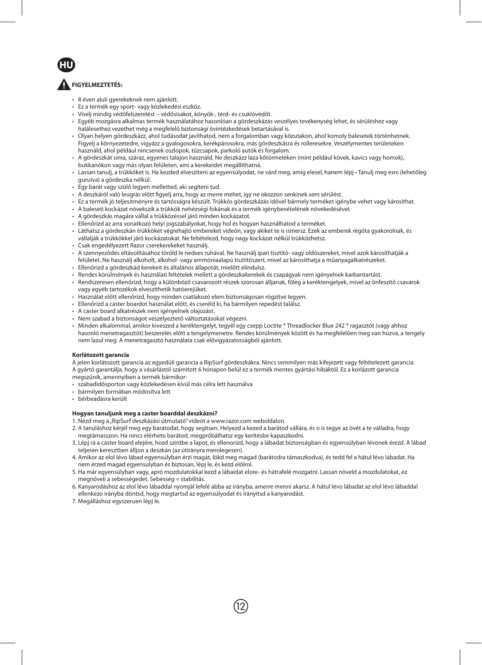## **FIGYELMEZTETÉS:**

- 8 éven aluli gyerekeknek nem ajánlott.
- Ez a termék egy sport- vagy közlekedési eszköz.
- Viselj mindig védőfelszerelést védősisakot, könyök-, térd- és csuklóvédőt.
- Egyéb mozgásra alkalmas termék használatához hasonlóan a gördeszkázás veszélyes tevékenység lehet, és sérüléshez vagy halálesethez vezethet még a megfelelő biztonsági óvintézkedések betartásával is.
- Olyan helyen gördeszkázz, ahol tudásodat javíthatod, nem a forgalomban vagy közutakon, ahol komoly balesetek történhetnek. Figyelj a környezetedre, vigyázz a gyalogosokra, kerékpárosokra, más gördeszkásra és rolleresekre. Veszélymentes területeken használd, ahol például nincsenek oszlopok, tűzcsapok, parkoló autók és forgalom.
- A gördeszkát sima, száraz, egyenes talajon használd. Ne deszkázz laza kőtörmeléken (mint például kövek, kavics vagy homok),
- bukkanókon vagy más olyan felületen, ami a kerekeidet megállíthatná.
- Lassan tanulj, a trükköket is. Ha kezded elveszíteni az egyensúlyodat, ne várd meg, amíg elesel, hanem lépj Tanulj meg esni (lehetőleg gurulva) a gördeszka nélkül.
- Egy barát vagy szülő legyen melletted, aki segíteni tud.
- A deszkáról való leugrás előtt figyelj arra, hogy az merre mehet, így ne okozzon senkinek sem sérülést.
- Ez a termék jó teljesítményre és tartósságra készült. Trükkös gördeszkázás idővel bármely terméket igénybe vehet vagy károsíthat.
- A baleseti kockázat növekszik a trükkök nehézségi fokának és a termék igénybevételének növekedésével.
- A gördeszkás magára vállal a trükközéssel járó minden kockázatot.
- Ellenőrizd az arra vonatkozó helyi jogszabályokat, hogy hol és hogyan használhatod a terméket.
- Láthatsz a gördeszkán trükköket végrehajtó embereket videón, vagy akiket te is ismersz. Ezek az emberek régóta gyakorolnak, és<br>vállalják a trükkökkel járó kockázatokat. Ne feltételezd, hogy nagy kockázat nélkül trükközhe
- Csak engedélyezett Razor cserekerekeket használj.

• A szennyeződés eltávolításához töröld le nedves ruhával. Ne használj ipari tisztító- vagy oldószereket, mivel azok károsíthatják a felületet. Ne használj alkoholt, alkohol- vagy ammóniaalapú tisztítószert, mivel az károsíthatja a műanyagalkatrészeket.

- Ellenőrizd a gördeszkád kerekeit és általános állapotát, mielőtt elindulsz.
- Rendes körülmények és használati feltételek mellett a gördeszkakerekek és csapágyak nem igényelnek karbantartást.
- Rendszeresen ellenőrizd, hogy a különböző csavarozott részek szorosan álljanak, főleg a keréktengelyek, mivel az önfeszítő csavarok vagy egyéb tartozékok elveszíthetik hatóerejüket.
- Használat előtt ellenőrizd, hogy minden csatlakozó elem biztonságosan rögzítve legyen.
- Ellenőrizd a caster boardot használat előtt, és cseréld ki, ha bármilyen repedést találsz.
- A caster board alkatrészek nem igényelnek olajozást.
- Nem szabad a biztonságot veszélyeztető változtatásokat végezni.
- Minden alkalommal, amikor kiveszed a keréktengelyt, tegyél egy csepp Loctite ® Threadlocker Blue 242 ® ragasztót (vagy ahhoz hasonló menetragasztót) beszerelés előtt a tengelymenetre. Rendes körülmények között és ha megfelelően meg van húzva, a tengely nem lazul meg. A menetragasztó használata csak elővigyázatosságból ajánlott.

#### **Korlátozott garancia**

A jelen korlátozott garancia az egyedüli garancia a RipSurf gördeszkákra. Nincs semmilyen más kifejezett vagy feltételezett garancia. A gyártó garantálja, hogy a vásárlástól számított 6 hónapon belül ez a termék mentes gyártási hibáktól. Ez a korlázott garancia megszűnik, amennyiben a termék bármikor:

- szabadidősporton vagy közlekedésen kívül más célra lett használva
- bármilyen formában módosítva lett
- bérbeadásra került

#### **Hogyan tanuljunk meg a caster boarddal deszkázni?**

- 1. Nézd meg a "RipSurf deszkázási útmutató" videót a www.razor.com weboldalon.
- 2. A tanuláshoz kérjél meg egy barátodat, hogy segítsen. Helyezd a kezed a barátod vállára, és o is tegye az övét a te válladra, hogy megtámasszon. Ha nincs elérheto barátod, megpróbálhatsz egy kerítésbe kapaszkodni.
- 3. Lépj rá a caster board elejére, hozd szintbe a lapot, és ellenorizd, hogy a lábadat biztonságban és egyensúlyban lévonek érezd. A lábad teljesen keresztben álljon a deszkán (az útirányra merolegesen).
- 4. Amikor az elol lévo lábad egyensúlyban érzi magát, lökd meg magad (barátodra támaszkodva), és tedd fel a hátul lévo lábadat. Ha nem érzed magad egyensúlyban és biztosan, lépj le, és kezd elölrol.
- 5. Ha már egyensúlyban vagy, apró mozdulatokkal kezd a lábaidat elore- és hátrafelé mozgatni. Lassan növeld a mozdulatokat, ez megnöveli a sebességedet. Sebesség = stabilitás.

12

- 6. Kanyarodáshoz az elol lévo lábaddal nyomjál lefelé abba az irányba, amerre menni akarsz. A hátul lévo lábadat az elol lévo lábaddal ellenkezo irányba döntsd, hogy megtartsd az egyensúlyodat és irányítsd a kanyarodást.
- 7. Megálláshoz egyszeruen lépj le.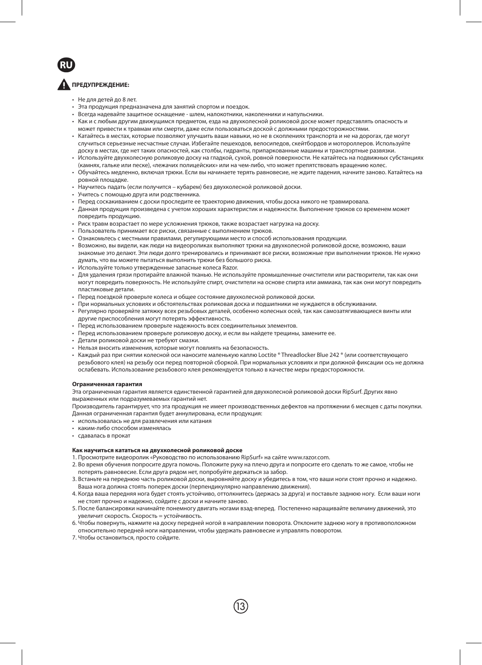## **ПРЕДУПРЕЖДЕНИЕ:**

- Не для детей до 8 лет.
- Эта продукция предназначена для занятий спортом и поездок.
- Всегда надевайте защитное оснащение шлем, налокотники, наколенники и напульсники.
- Как и с любым другим движущимся предметом, езда на двухколесной роликовой доске может представлять опасность и может привести к травмам или смерти, даже если пользоваться доской с должными предосторожностями.
- Катайтесь в местах, которые позволяют улучшить ваши навыки, но не в скоплениях транспорта и не на дорогах, где могут случиться серьезные несчастные случаи. Избегайте пешеходов, велосипедов, скейтбордов и мотороллеров. Используйте доску в местах, где нет таких опасностей, как столбы, гидранты, припаркованные машины и транспортные развязки.
- Используйте двухколесную роликовую доску на гладкой, сухой, ровной поверхности. Не катайтесь на подвижных субстанциях
- (камнях, гальке или песке), «лежачих полицейских» или на чем-либо, что может препятствовать вращению колес.
- Обучайтесь медленно, включая трюки. Если вы начинаете терять равновесие, не ждите падения, начните заново. Катайтесь на ровной площадке.
- Научитесь падать (если получится кубарем) без двухколесной роликовой доски.
- Учитесь с помощью друга или родственника.
- Перед соскакиванием с доски проследите ее траекторию движения, чтобы доска никого не травмировала.
- Данная продукция произведена с учетом хороших характеристик и надежности. Выполнение трюков со временем может повредить продукцию.
- Риск травм возрастает по мере усложнения трюков, также возрастает нагрузка на доску.
- Пользователь принимает все риски, связанные с выполнением трюков.
- Ознакомьтесь с местными правилами, регулирующими место и способ использования продукции.
- Возможно, вы видели, как люди на видеороликах выполняют трюки на двухколесной роликовой доске, возможно, ваши знакомые это делают. Эти люди долго тренировались и принимают все риски, возможные при выполнении трюков. Не нужно думать, что вы можете пытаться выполнить трюки без большого риска.
- Используйте только утвержденные запасные колеса Razor.
- Для удаления грязи протирайте влажной тканью. Не используйте промышленные очистители или растворители, так как они могут повредить поверхность. Не используйте спирт, очистители на основе спирта или аммиака, так как они могут повредить пластиковые детали.
- Перед поездкой проверьте колеса и общее состояние двухколесной роликовой доски.
- При нормальных условиях и обстоятельствах роликовая доска и подшипники не нуждаются в обслуживании.
- Регулярно проверяйте затяжку всех резьбовых деталей, особенно колесных осей, так как самозатягивающиеся винты или
- другие приспособления могут потерять эффективность.
- Перед использованием проверьте надежность всех соединительных элементов.
- Перед использованием проверьте роликовую доску, и если вы найдете трещины, замените ее.
- Детали роликовой доски не требуют смазки.
- Нельзя вносить изменения, которые могут повлиять на безопасность.
- Каждый раз при снятии колесной оси наносите маленькую каплю Loctite ® Threadlocker Blue 242 ® (или соответствующего резьбового клея) на резьбу оси перед повторной сборкой. При нормальных условиях и при должной фиксации ось не должна ослабевать. Использование резьбового клея рекомендуется только в качестве меры предосторожности.

#### **Ограниченная гарантия**

Эта ограниченная гарантия является единственной гарантией для двухколесной роликовой доски RipSurf. Других явно выраженных или подразумеваемых гарантий нет.

Производитель гарантирует, что эта продукция не имеет производственных дефектов на протяжении 6 месяцев с даты покупки. Данная ограниченная гарантия будет аннулирована, если продукция:

- использовалась не для развлечения или катания
- каким-либо способом изменялась
- сдавалась в прокат

#### **Как научиться кататься на двухколесной роликовой доске**

1. Просмотрите видеоролик «Руководство по использованию RipSurf» на сайте www.razor.com.

- 2. Во время обучения попросите друга помочь. Положите руку на плечо друга и попросите его сделать то же самое, чтобы не потерять равновесие. Если друга рядом нет, попробуйте держаться за забор.
- 3. Встаньте на переднюю часть роликовой доски, выровняйте доску и убедитесь в том, что ваши ноги стоят прочно и надежно. Ваша нога должна стоять поперек доски (перпендикулярно направлению движения).
- 4. Когда ваша передняя нога будет стоять устойчиво, оттолкнитесь (держась за друга) и поставьте заднюю ногу. Если ваши ноги не стоят прочно и надежно, сойдите с доски и начните заново.
- 5. После балансировки начинайте понемногу двигать ногами взад-вперед. Постепенно наращивайте величину движений, это увеличит скорость. Скорость = устойчивость.
- 6. Чтобы повернуть, нажмите на доску передней ногой в направлении поворота. Отклоните заднюю ногу в противоположном относительно передней ноги направлении, чтобы удержать равновесие и управлять поворотом.

13

7. Чтобы остановиться, просто сойдите.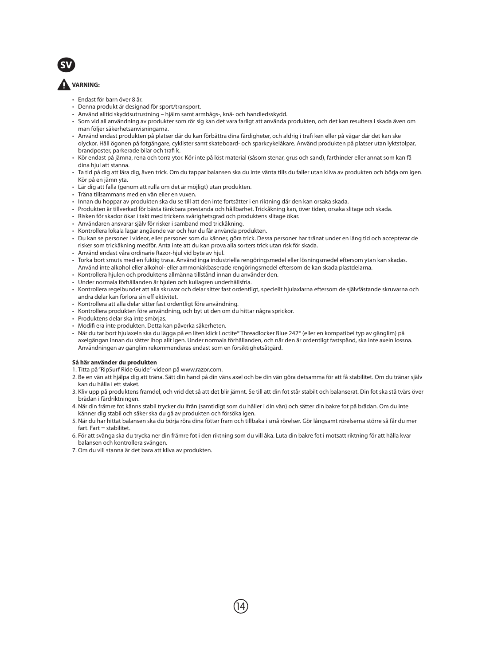

### • Endast för barn över 8 år.

- Denna produkt är designad för sport/transport.
- Använd alltid skyddsutrustning hjälm samt armbågs-, knä- och handledsskydd.
- Som vid all användning av produkter som rör sig kan det vara farligt att använda produkten, och det kan resultera i skada även om man följer säkerhetsanvisningarna.
- Använd endast produkten på platser där du kan förbättra dina färdigheter, och aldrig i trafi ken eller på vägar där det kan ske olyckor. Håll ögonen på fotgängare, cyklister samt skateboard- och sparkcykelåkare. Använd produkten på platser utan lyktstolpar, brandposter, parkerade bilar och trafi k.
- Kör endast på jämna, rena och torra ytor. Kör inte på löst material (såsom stenar, grus och sand), farthinder eller annat som kan få dina hiul att stanna.
- Ta tid på dig att lära dig, även trick. Om du tappar balansen ska du inte vänta tills du faller utan kliva av produkten och börja om igen. Kör på en jämn yta.
- Lär dig att falla (genom att rulla om det är möjligt) utan produkten.
- Träna tillsammans med en vän eller en vuxen.
- Innan du hoppar av produkten ska du se till att den inte fortsätter i en riktning där den kan orsaka skada.
- Produkten är tillverkad för bästa tänkbara prestanda och hållbarhet. Trickåkning kan, över tiden, orsaka slitage och skada.
- Risken för skador ökar i takt med trickens svårighetsgrad och produktens slitage ökar.
- Användaren ansvarar själv för risker i samband med trickåkning.
- Kontrollera lokala lagar angående var och hur du får använda produkten.
- Du kan se personer i videor, eller personer som du känner, göra trick. Dessa personer har tränat under en lång tid och accepterar de risker som trickåkning medför. Anta inte att du kan prova alla sorters trick utan risk för skada.
- Använd endast våra ordinarie Razor-hjul vid byte av hjul.
- Torka bort smuts med en fuktig trasa. Använd inga industriella rengöringsmedel eller lösningsmedel eftersom ytan kan skadas. Använd inte alkohol eller alkohol- eller ammoniakbaserade rengöringsmedel eftersom de kan skada plastdelarna.
- Kontrollera hjulen och produktens allmänna tillstånd innan du använder den.
- Under normala förhållanden är hjulen och kullagren underhållsfria.
- Kontrollera regelbundet att alla skruvar och delar sitter fast ordentligt, speciellt hjulaxlarna eftersom de självfästande skruvarna och andra delar kan förlora sin eff ektivitet.
- Kontrollera att alla delar sitter fast ordentligt före användning.
- Kontrollera produkten före användning, och byt ut den om du hittar några sprickor.
- Produktens delar ska inte smörjas.
- Modifi era inte produkten. Detta kan påverka säkerheten.
- När du tar bort hjulaxeln ska du lägga på en liten klick Loctite® Threadlocker Blue 242® (eller en kompatibel typ av gänglim) på axelgängan innan du sätter ihop allt igen. Under normala förhållanden, och när den är ordentligt fastspänd, ska inte axeln lossna. Användningen av gänglim rekommenderas endast som en försiktighetsåtgärd.

#### **Så här använder du produkten**

- 1. Titta på "RipSurf Ride Guide"-videon på www.razor.com.
- 2. Be en vän att hjälpa dig att träna. Sätt din hand på din väns axel och be din vän göra detsamma för att få stabilitet. Om du tränar själv kan du hålla i ett staket.
- 3. Kliv upp på produktens framdel, och vrid det så att det blir jämnt. Se till att din fot står stabilt och balanserat. Din fot ska stå tvärs över brädan i färdriktningen.
- 4. När din främre fot känns stabil trycker du ifrån (samtidigt som du håller i din vän) och sätter din bakre fot på brädan. Om du inte känner dig stabil och säker ska du gå av produkten och försöka igen.
- 5. När du har hittat balansen ska du börja röra dina fötter fram och tillbaka i små rörelser. Gör långsamt rörelserna större så får du mer fart. Fart = stabilitet.
- 6. För att svänga ska du trycka ner din främre fot i den riktning som du vill åka. Luta din bakre fot i motsatt riktning för att hålla kvar balansen och kontrollera svängen.
- 7. Om du vill stanna är det bara att kliva av produkten.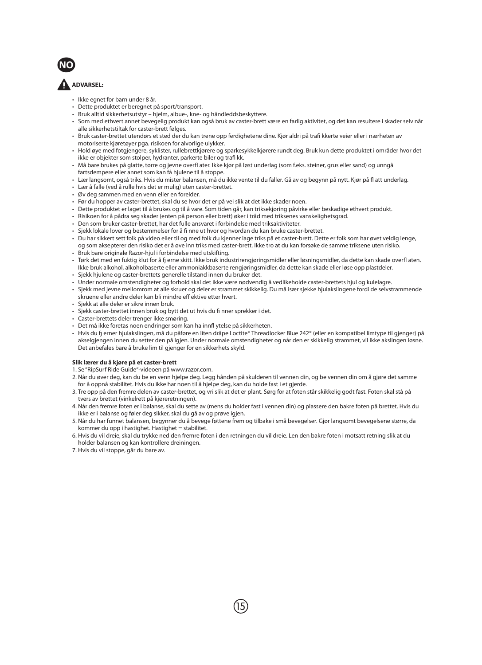

### **ADVARSEL:**

- Ikke egnet for barn under 8 år.
- Dette produktet er beregnet på sport/transport.
- Bruk alltid sikkerhetsutstyr hjelm, albue-, kne- og håndleddsbeskyttere.
- Som med ethvert annet bevegelig produkt kan også bruk av caster-brett være en farlig aktivitet, og det kan resultere i skader selv når alle sikkerhetstiltak for caster-brett følges.
- Bruk caster-brettet utendørs et sted der du kan trene opp ferdighetene dine. Kjør aldri på trafi kkerte veier eller i nærheten av motoriserte kjøretøyer pga. risikoen for alvorlige ulykker.
- Hold øye med fotgjengere, syklister, rullebrettkjørere og sparkesykkelkjørere rundt deg. Bruk kun dette produktet i områder hvor det ikke er objekter som stolper, hydranter, parkerte biler og trafi kk.
- Må bare brukes på glatte, tørre og jevne overfl ater. Ikke kjør på løst underlag (som f.eks. steiner, grus eller sand) og unngå fartsdempere eller annet som kan få hjulene til å stoppe.
- Lær langsomt, også triks. Hvis du mister balansen, må du ikke vente til du faller. Gå av og begynn på nytt. Kjør på fl att underlag.
- Lær å falle (ved å rulle hvis det er mulig) uten caster-brettet.
- Øv deg sammen med en venn eller en forelder.
- Før du hopper av caster-brettet, skal du se hvor det er på vei slik at det ikke skader noen.
- Dette produktet er laget til å brukes og til å vare. Som tiden går, kan triksekjøring påvirke eller beskadige ethvert produkt.
- Risikoen for å pådra seg skader (enten på person eller brett) øker i tråd med triksenes vanskelighetsgrad.
- Den som bruker caster-brettet, har det fulle ansvaret i forbindelse med triksaktiviteter.
- Sjekk lokale lover og bestemmelser for å fi nne ut hvor og hvordan du kan bruke caster-brettet.
- Du har sikkert sett folk på video eller til og med folk du kjenner lage triks på et caster-brett. Dette er folk som har øvet veldig lenge, og som aksepterer den risiko det er å øve inn triks med caster-brett. Ikke tro at du kan forsøke de samme triksene uten risiko.
- Bruk bare originale Razor-hjul i forbindelse med utskifting.
- Tørk det med en fuktig klut for å fj erne skitt. Ikke bruk industrirengjøringsmidler eller løsningsmidler, da dette kan skade overfl aten. Ikke bruk alkohol, alkoholbaserte eller ammoniakkbaserte rengjøringsmidler, da dette kan skade eller løse opp plastdeler.
- Sjekk hjulene og caster-brettets generelle tilstand innen du bruker det.
- Under normale omstendigheter og forhold skal det ikke være nødvendig å vedlikeholde caster-brettets hjul og kulelagre.
- Sjekk med jevne mellomrom at alle skruer og deler er strammet skikkelig. Du må især sjekke hjulakslingene fordi de selvstrammende skruene eller andre deler kan bli mindre eff ektive etter hvert.
- Sjekk at alle deler er sikre innen bruk.
- Sjekk caster-brettet innen bruk og bytt det ut hvis du fi nner sprekker i det.
- Caster-brettets deler trenger ikke smøring.
- Det må ikke foretas noen endringer som kan ha innfl ytelse på sikkerheten.
- Hvis du fj erner hjulakslingen, må du påføre en liten dråpe Loctite® Threadlocker Blue 242® (eller en kompatibel limtype til gjenger) på akselgjengen innen du setter den på igjen. Under normale omstendigheter og når den er skikkelig strammet, vil ikke akslingen løsne. Det anbefales bare å bruke lim til gjenger for en sikkerhets skyld.

#### **Slik lærer du å kjøre på et caster-brett**

- 1. Se "RipSurf Ride Guide"-videoen på www.razor.com.
- 2. Når du øver deg, kan du be en venn hjelpe deg. Legg hånden på skulderen til vennen din, og be vennen din om å gjøre det samme for å oppnå stabilitet. Hvis du ikke har noen til å hjelpe deg, kan du holde fast i et gjerde.
- 3. Tre opp på den fremre delen av caster-brettet, og vri slik at det er plant. Sørg for at foten står skikkelig godt fast. Foten skal stå på tvers av brettet (vinkelrett på kjøreretningen).
- 4. Når den fremre foten er i balanse, skal du sette av (mens du holder fast i vennen din) og plassere den bakre foten på brettet. Hvis du ikke er i balanse og føler deg sikker, skal du gå av og prøve igjen.
- 5. Når du har funnet balansen, begynner du å bevege føttene frem og tilbake i små bevegelser. Gjør langsomt bevegelsene større, da kommer du opp i hastighet. Hastighet = stabilitet.
- 6. Hvis du vil dreie, skal du trykke ned den fremre foten i den retningen du vil dreie. Len den bakre foten i motsatt retning slik at du holder balansen og kan kontrollere dreiningen.
- 7. Hvis du vil stoppe, går du bare av.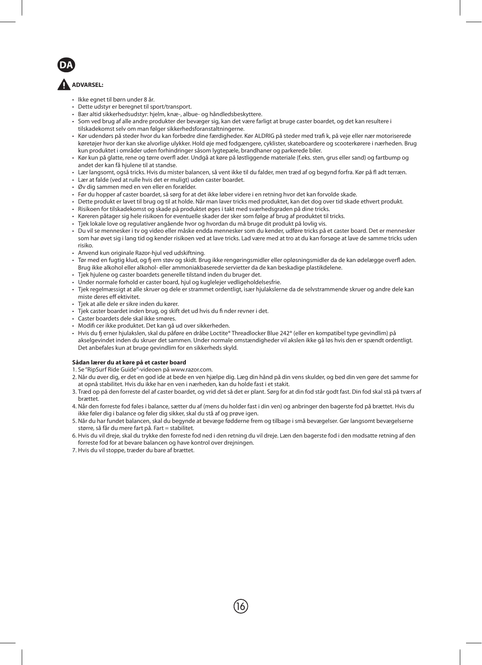

## **ADVARSEL:**

- Ikke egnet til børn under 8 år.
- Dette udstyr er beregnet til sport/transport.
- Bær altid sikkerhedsudstyr: hjelm, knæ-, albue- og håndledsbeskyttere.
- Som ved brug af alle andre produkter der bevæger sig, kan det være farligt at bruge caster boardet, og det kan resultere i tilskadekomst selv om man følger sikkerhedsforanstaltningerne.
- 
- Kør udendørs på steder hvor du kan forbedre dine færdigheder. Kør ALDRIG på steder med trafi k, på veje eller nær motoriserede køretøjer hvor der kan ske alvorlige ulykker. Hold øje med fodgængere, cyklister, skateboardere og scooterkørere i nærheden. Brug kun produktet i områder uden forhindringer såsom lygtepæle, brandhaner og parkerede biler.
- Kør kun på glatte, rene og tørre overfl ader. Undgå at køre på løstliggende materiale (f.eks. sten, grus eller sand) og fartbump og andet der kan få hjulene til at standse.
- Lær langsomt, også tricks. Hvis du mister balancen, så vent ikke til du falder, men træd af og begynd forfra. Kør på fl adt terræn.
- Lær at falde (ved at rulle hvis det er muligt) uden caster boardet.
- Øv dig sammen med en ven eller en forælder.
- Før du hopper af caster boardet, så sørg for at det ikke løber videre i en retning hvor det kan forvolde skade.
- Dette produkt er lavet til brug og til at holde. Når man laver tricks med produktet, kan det dog over tid skade ethvert produkt.
- Risikoen for tilskadekomst og skade på produktet øges i takt med sværhedsgraden på dine tricks.
- Køreren påtager sig hele risikoen for eventuelle skader der sker som følge af brug af produktet til tricks.
- Tjek lokale love og regulativer angående hvor og hvordan du må bruge dit produkt på lovlig vis.
- Du vil se mennesker i tv og video eller måske endda mennesker som du kender, udføre tricks på et caster board. Det er mennesker som har øvet sig i lang tid og kender risikoen ved at lave tricks. Lad være med at tro at du kan forsøge at lave de samme tricks uden risiko.
- Anvend kun originale Razor-hjul ved udskiftning.
- Tør med en fugtig klud, og fj ern støv og skidt. Brug ikke rengøringsmidler eller opløsningsmidler da de kan ødelægge overfl aden. Brug ikke alkohol eller alkohol- eller ammoniakbaserede servietter da de kan beskadige plastikdelene.
- Tjek hjulene og caster boardets generelle tilstand inden du bruger det.
- Under normale forhold er caster board, hjul og kuglelejer vedligeholdelsesfrie.
- Tjek regelmæssigt at alle skruer og dele er strammet ordentligt, især hjulakslerne da de selvstrammende skruer og andre dele kan miste deres eff ektivitet.
- Tjek at alle dele er sikre inden du kører.
- Tjek caster boardet inden brug, og skift det ud hvis du fi nder revner i det.
- Caster boardets dele skal ikke smøres.
- Modifi cer ikke produktet. Det kan gå ud over sikkerheden.
- Hvis du fj erner hjulakslen, skal du påføre en dråbe Loctite® Threadlocker Blue 242® (eller en kompatibel type gevindlim) på akselgevindet inden du skruer det sammen. Under normale omstændigheder vil akslen ikke gå løs hvis den er spændt ordentligt. Det anbefales kun at bruge gevindlim for en sikkerheds skyld.

#### **Sådan lærer du at køre på et caster board**

- 1. Se "RipSurf Ride Guide"-videoen på www.razor.com.
- 2. Når du øver dig, er det en god ide at bede en ven hjælpe dig. Læg din hånd på din vens skulder, og bed din ven gøre det samme for at opnå stabilitet. Hvis du ikke har en ven i nærheden, kan du holde fast i et stakit.
- 3. Træd op på den forreste del af caster boardet, og vrid det så det er plant. Sørg for at din fod står godt fast. Din fod skal stå på tværs af brættet.
- 4. Når den forreste fod føles i balance, sætter du af (mens du holder fast i din ven) og anbringer den bagerste fod på brættet. Hvis du ikke føler dig i balance og føler dig sikker, skal du stå af og prøve igen.
- 5. Når du har fundet balancen, skal du begynde at bevæge fødderne frem og tilbage i små bevægelser. Gør langsomt bevægelserne større, så får du mere fart på. Fart = stabilitet.
- 6. Hvis du vil dreje, skal du trykke den forreste fod ned i den retning du vil dreje. Læn den bagerste fod i den modsatte retning af den forreste fod for at bevare balancen og have kontrol over drejningen.
- 7. Hvis du vil stoppe, træder du bare af brættet.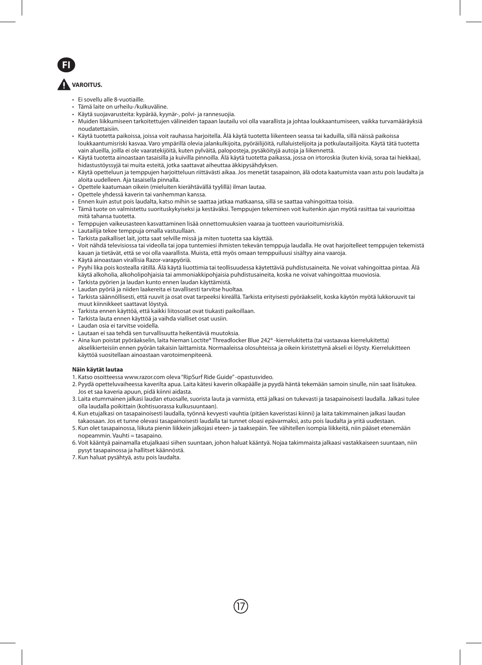

## **VAROITUS.**

- Ei sovellu alle 8-vuotiaille.
- Tämä laite on urheilu-/kulkuväline.
- Käytä suojavarusteita: kypärää, kyynär-, polvi- ja rannesuojia.
- Muiden liikkumiseen tarkoitettujen välineiden tapaan lautailu voi olla vaarallista ja johtaa loukkaantumiseen, vaikka turvamääräyksiä noudatettaisiin.
- Käytä tuotetta paikoissa, joissa voit rauhassa harjoitella. Älä käytä tuotetta liikenteen seassa tai kaduilla, sillä näissä paikoissa loukkaantumisriski kasvaa. Varo ympärillä olevia jalankulkijoita, pyöräilijöitä, rullaluistelijoita ja potkulautailijoita. Käytä tätä tuotetta vain alueilla, joilla ei ole vaaratekijöitä, kuten pylväitä, paloposteja, pysäköityjä autoja ja liikennettä.
- Käytä tuotetta ainoastaan tasaisilla ja kuivilla pinnoilla. Älä käytä tuotetta paikassa, jossa on irtoroskia (kuten kiviä, soraa tai hiekkaa), hidastustöyssyjä tai muita esteitä, jotka saattavat aiheuttaa äkkipysähdyksen.
- Käytä opetteluun ja temppujen harjoitteluun riittävästi aikaa. Jos menetät tasapainon, älä odota kaatumista vaan astu pois laudalta ja aloita uudelleen. Aja tasaisella pinnalla.
- Opettele kaatumaan oikein (mieluiten kierähtävällä tyylillä) ilman lautaa.
- Opettele yhdessä kaverin tai vanhemman kanssa.
- Ennen kuin astut pois laudalta, katso mihin se saattaa jatkaa matkaansa, sillä se saattaa vahingoittaa toisia.
- Tämä tuote on valmistettu suorituskykyiseksi ja kestäväksi. Temppujen tekeminen voit kuitenkin ajan myötä rasittaa tai vaurioittaa mitä tahansa tuotetta.
- Temppujen vaikeusasteen kasvattaminen lisää onnettomuuksien vaaraa ja tuotteen vaurioitumisriskiä.
- Lautailija tekee temppuja omalla vastuullaan.
- Tarkista paikalliset lait, jotta saat selville missä ja miten tuotetta saa käyttää.
- Voit nähdä televisiossa tai videolla tai jopa tuntemiesi ihmisten tekevän temppuja laudalla. He ovat harjoitelleet temppujen tekemistä kauan ja tietävät, että se voi olla vaarallista. Muista, että myös omaan temppuiluusi sisältyy aina vaaroja.
- Käytä ainoastaan virallisia Razor-varapyöriä.
- Pyyhi lika pois kostealla rätillä. Älä käytä liuottimia tai teollisuudessa käytettäviä puhdistusaineita. Ne voivat vahingoittaa pintaa. Älä käytä alkoholia, alkoholipohjaisia tai ammoniakkipohjaisia puhdistusaineita, koska ne voivat vahingoittaa muoviosia.
- Tarkista pyörien ja laudan kunto ennen laudan käyttämistä.
- Laudan pyöriä ja niiden laakereita ei tavallisesti tarvitse huoltaa.
- Tarkista säännöllisesti, että ruuvit ja osat ovat tarpeeksi kireällä. Tarkista erityisesti pyöräakselit, koska käytön myötä lukkoruuvit tai muut kiinnikkeet saattavat löystyä.
- Tarkista ennen käyttöä, että kaikki liitososat ovat tiukasti paikoillaan.
- Tarkista lauta ennen käyttöä ja vaihda vialliset osat uusiin.
- Laudan osia ei tarvitse voidella.
- Lautaan ei saa tehdä sen turvallisuutta heikentäviä muutoksia.
- Aina kun poistat pyöräakselin, laita hieman Loctite® Threadlocker Blue 242® -kierrelukitetta (tai vastaavaa kierrelukitetta) akselikierteisiin ennen pyörän takaisin laittamista. Normaaleissa olosuhteissa ja oikein kiristettynä akseli ei löysty. Kierrelukitteen käyttöä suositellaan ainoastaan varotoimenpiteenä.

#### **Näin käytät lautaa**

- 1. Katso osoitteessa www.razor.com oleva "RipSurf Ride Guide" -opastusvideo.
- 2. Pyydä opetteluvaiheessa kaverilta apua. Laita kätesi kaverin olkapäälle ja pyydä häntä tekemään samoin sinulle, niin saat lisätukea. Jos et saa kaveria apuun, pidä kiinni aidasta.
- 3. Laita etummainen jalkasi laudan etuosalle, suorista lauta ja varmista, että jalkasi on tukevasti ja tasapainoisesti laudalla. Jalkasi tulee olla laudalla poikittain (kohtisuorassa kulkusuuntaan).
- 4. Kun etujalkasi on tasapainoisesti laudalla, työnnä kevyesti vauhtia (pitäen kaveristasi kiinni) ja laita takimmainen jalkasi laudan takaosaan. Jos et tunne olevasi tasapainoisesti laudalla tai tunnet oloasi epävarmaksi, astu pois laudalta ja yritä uudestaan.
- 5. Kun olet tasapainossa, liikuta pienin liikkein jalkojasi eteen- ja taaksepäin. Tee vähitellen isompia liikkeitä, niin pääset etenemään nopeammin. Vauhti = tasapaino.

17

- 6. Voit kääntyä painamalla etujalkaasi siihen suuntaan, johon haluat kääntyä. Nojaa takimmaista jalkaasi vastakkaiseen suuntaan, niin pysyt tasapainossa ja hallitset käännöstä.
- 7. Kun haluat pysähtyä, astu pois laudalta.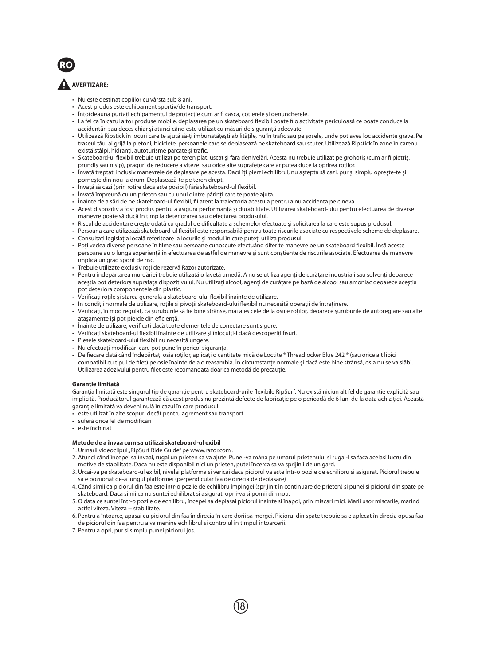

- Nu este destinat copiilor cu vârsta sub 8 ani.
- Acest produs este echipament sportiv/de transport.
- Întotdeauna purtaţi echipamentul de protecţie cum ar fi casca, cotierele şi genuncherele.
- La fel ca în cazul altor produse mobile, deplasarea pe un skateboard flexibil poate fi o activitate periculoasă ce poate conduce la accidentări sau deces chiar şi atunci când este utilizat cu măsuri de siguranţă adecvate.
- Utilizează Ripstick în locuri care te ajută să-ţi îmbunătăţeşti abilităţile, nu în trafic sau pe şosele, unde pot avea loc accidente grave. Pe traseul tău, ai grijă la pietoni, biciclete, persoanele care se deplasează pe skateboard sau scuter. Utilizează Ripstick în zone în carenu există stâlpi, hidranți, autoturisme parcate și trafic.
- Skateboard-ul flexibil trebuie utilizat pe teren plat, uscat şi fără denivelări. Acesta nu trebuie utilizat pe grohotiş (cum ar fi pietriş, prundiş sau nisip), praguri de reducere a vitezei sau orice alte suprafeţe care ar putea duce la oprirea roţilor.
- Învată treptat, inclusiv manevrele de deplasare pe acesta. Dacă îti pierzi echilibrul, nu astepta să cazi, pur și simplu oprește-te și porneşte din nou la drum. Deplasează-te pe teren drept.
- Învaţă să cazi (prin rotire dacă este posibil) fără skateboard-ul flexibil.
- Învaţă împreună cu un prieten sau cu unul dintre părinţi care te poate ajuta.
- Înainte de a sări de pe skateboard-ul flexibil, fii atent la traiectoria acestuia pentru a nu accidenta pe cineva.
- Acest dispozitiv a fost produs pentru a asigura performanţă şi durabilitate. Utilizarea skateboard-ului pentru efectuarea de diverse manevre poate să ducă în timp la deteriorarea sau defectarea produsului.
- Riscul de accidentare creşte odată cu gradul de dificultate a schemelor efectuate şi solicitarea la care este supus produsul.
- Persoana care utilizează skateboard-ul flexibil este responsabilă pentru toate riscurile asociate cu respectivele scheme de deplasare. • Consultaţi legislaţia locală referitoare la locurile şi modul în care puteţi utiliza produsul.
- Poţi vedea diverse persoane în filme sau persoane cunoscute efectuând diferite manevre pe un skateboard flexibil. Însă aceste persoane au o lungă experienţă în efectuarea de astfel de manevre şi sunt conştiente de riscurile asociate. Efectuarea de manevre implică un grad sporit de risc.
- Trebuie utilizate exclusiv roţi de rezervă Razor autorizate.
- Pentru îndepărtarea murdăriei trebuie utilizată o lavetă umedă. A nu se utiliza agenti de curătare industriali sau solventi deoarece acestia pot deteriora suprafața dispozitivului. Nu utilizați alcool, agenți de curățare pe bază de alcool sau amoniac deoarece acestia pot deteriora componentele din plastic.
- Verificaţi roţile şi starea generală a skateboard-ului flexibil înainte de utilizare.
- În conditii normale de utilizare, rotile și pivotii skateboard-ului flexibil nu necesită operatii de întretinere.
- Verificaţi, în mod regulat, ca şuruburile să fie bine strânse, mai ales cele de la osiile roţilor, deoarece şuruburile de autoreglare sau alte ataşamente îşi pot pierde din eficienţă.
- Înainte de utilizare, verificati dacă toate elementele de conectare sunt sigure.
- Verificaţi skateboard-ul flexibil înainte de utilizare şi înlocuiţi-l dacă descoperiţi fisuri.
- Piesele skateboard-ului flexibil nu necesită ungere.
- Nu efectuaţi modificări care pot pune în pericol siguranţa.
- De fiecare dată când îndepărtaţi osia roţilor, aplicaţi o cantitate mică de Loctite ® Threadlocker Blue 242 ® (sau orice alt lipici compatibil cu tipul de filet) pe osie înainte de a o reasambla. În circumstanţe normale şi dacă este bine strânsă, osia nu se va slăbi. Utilizarea adezivului pentru filet este recomandată doar ca metodă de precautie.

#### **Garanţie limitată**

Garanţia limitată este singurul tip de garanţie pentru skateboard-urile flexibile RipSurf. Nu există niciun alt fel de garanţie explicită sau implicită. Producătorul garantează că acest produs nu prezintă defecte de fabricaţie pe o perioadă de 6 luni de la data achiziţiei. Această garanție limitată va deveni nulă în cazul în care produsul:

- este utilizat în alte scopuri decât pentru agrement sau transport
- suferă orice fel de modificări
- este închiriat

#### **Metode de a învaa cum sa utilizai skateboard-ul exibil**

1. Urmarii videoclipul "RipSurf Ride Guide" pe www.razor.com .

- 2. Atunci când începei sa învaai, rugai un prieten sa va ajute. Punei-va mâna pe umarul prietenului si rugai-l sa faca acelasi lucru din motive de stabilitate. Daca nu este disponibil nici un prieten, putei încerca sa va sprijinii de un gard.
- 3. Urcai-va pe skateboard-ul exibil, nivelai platforma si vericai daca piciorul va este într-o poziie de echilibru si asigurat. Piciorul trebuie sa e poziionat de-a lungul platformei (perpendicular faa de direcia de deplasare)
- 4. Când simii ca piciorul din faa este într-o poziie de echilibru împingei (sprijinit în continuare de prieten) si punei si piciorul din spate pe skateboard. Daca simii ca nu suntei echilibrat si asigurat, oprii-va si pornii din nou.
- 5. O data ce suntei într-o poziie de echilibru, începei sa deplasai piciorul înainte si înapoi, prin miscari mici. Marii usor miscarile, marind astfel viteza. Viteza = stabilitate.
- 6. Pentru a întoarce, apasai cu piciorul din faa în direcia în care dorii sa mergei. Piciorul din spate trebuie sa e aplecat în direcia opusa faa de piciorul din faa pentru a va menine echilibrul si controlul în timpul întoarcerii.

18

7. Pentru a opri, pur si simplu punei piciorul jos.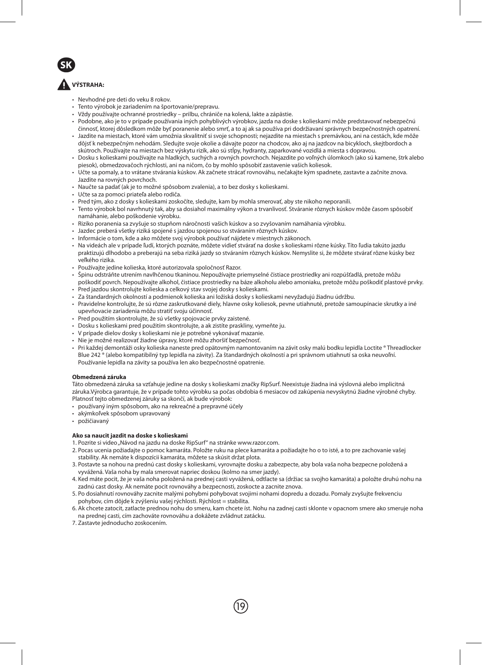

- Nevhodné pre deti do veku 8 rokov.
- Tento výrobok je zariadením na športovanie/prepravu.
- Vždy používajte ochranné prostriedky prilbu, chrániče na kolená, lakte a zápästie.
- Podobne, ako je to v prípade používania iných pohyblivých výrobkov, jazda na doske s kolieskami môže predstavovať nebezpečnú činnosť, ktorej dôsledkom môže byť poranenie alebo smrť, a to aj ak sa používa pri dodržiavaní správnych bezpečnostných opatrení.
- Jazdite na miestach, ktoré vám umožnia skvalitniť si svoje schopnosti; nejazdite na miestach s premávkou, ani na cestách, kde môže dôjsť k nebezpečným nehodám. Sledujte svoje okolie a dávajte pozor na chodcov, ako aj na jazdcov na bicykloch, skejtbordoch a skútroch. Používajte na miestach bez výskytu rizík, ako sú stĺpy, hydranty, zaparkované vozidlá a miesta s dopravou.
- Dosku s kolieskami používajte na hladkých, suchých a rovných povrchoch. Nejazdite po voľných úlomkoch (ako sú kamene, štrk alebo piesok), obmedzovačoch rýchlosti, ani na ničom, čo by mohlo spôsobiť zastavenie vašich koliesok.
- Učte sa pomaly, a to vrátane stvárania kúskov. Ak začnete strácať rovnováhu, nečakajte kým spadnete, zastavte a začnite znova. Jazdite na rovných povrchoch.
- Naučte sa padať (ak je to možné spôsobom zvalenia), a to bez dosky s kolieskami.
- Učte sa za pomoci priateľa alebo rodiča.
- Pred tým, ako z dosky s kolieskami zoskočíte, sledujte, kam by mohla smerovať, aby ste nikoho neporanili.
- Tento výrobok bol navrhnutý tak, aby sa dosiahol maximálny výkon a trvanlivosť. Stváranie rôznych kúskov môže časom spôsobiť namáhanie, alebo poškodenie výrobku.
- Riziko poranenia sa zvyšuje so stupňom náročnosti vašich kúskov a so zvyšovaním namáhania výrobku.
- Jazdec preberá všetky riziká spojené s jazdou spojenou so stváraním rôznych kúskov.
- Informácie o tom, kde a ako môžete svoj výrobok používať nájdete v miestnych zákonoch.
- Na videách ale v prípade ľudí, ktorých poznáte, môžete vidieť stvárať na doske s kolieskami rôzne kúsky. Títo ľudia takúto jazdu praktizujú dlhodobo a preberajú na seba riziká jazdy so stváraním rôznych kúskov. Nemyslite si, že môžete stvárať rôzne kúsky bez veľkého rizika.
- Používajte jedine kolieska, ktoré autorizovala spoločnosť Razor.
- Špinu odstráňte utrením navlhčenou tkaninou. Nepoužívajte priemyselné čistiace prostriedky ani rozpúšťadlá, pretože môžu poškodiť povrch. Nepoužívajte alkohol, čistiace prostriedky na báze alkoholu alebo amoniaku, pretože môžu poškodiť plastové prvky.
- Pred jazdou skontrolujte kolieska a celkový stav svojej dosky s kolieskami.
- Za štandardných okolností a podmienok kolieska ani ložiská dosky s kolieskami nevyžadujú žiadnu údržbu.
- Pravidelne kontrolujte, že sú rôzne zaskrutkované diely, hlavne osky koliesok, pevne utiahnuté, pretože samoupínacie skrutky a iné upevňovacie zariadenia môžu stratiť svoju účinnosť.
- Pred použitím skontrolujte, že sú všetky spojovacie prvky zaistené.
- Dosku s kolieskami pred použitím skontrolujte, a ak zistíte praskliny, vymeňte ju.
- V prípade dielov dosky s kolieskami nie je potrebné vykonávať mazanie.
- Nie je možné realizovať žiadne úpravy, ktoré môžu zhoršiť bezpečnosť.
- Pri každej demontáži osky kolieska naneste pred opätovným namontovaním na závit osky malú bodku lepidla Loctite ® Threadlocker Blue 242 ® (alebo kompatibilný typ lepidla na závity). Za štandardných okolností a pri správnom utiahnutí sa oska neuvoľní. Používanie lepidla na závity sa používa len ako bezpečnostné opatrenie.

#### **Obmedzená záruka**

Táto obmedzená záruka sa vzťahuje jedine na dosky s kolieskami značky RipSurf. Neexistuje žiadna iná výslovná alebo implicitná záruka.Výrobca garantuje, že v prípade tohto výrobku sa počas obdobia 6 mesiacov od zakúpenia nevyskytnú žiadne výrobné chyby. Platnosť tejto obmedzenej záruky sa skončí, ak bude výrobok:

- používaný iným spôsobom, ako na rekreačné a prepravné účely
- akýmkoľvek spôsobom upravovaný
- požičiavaný

#### **Ako sa naucit jazdit na doske s kolieskami**

1. Pozrite si video "Návod na jazdu na doske RipSurf" na stránke www.razor.com.

- 2. Pocas ucenia požiadajte o pomoc kamaráta. Položte ruku na plece kamaráta a požiadajte ho o to isté, a to pre zachovanie vašej stability. Ak nemáte k dispozícii kamaráta, môžete sa skúsit držat plota.
- 3. Postavte sa nohou na prednú cast dosky s kolieskami, vyrovnajte dosku a zabezpecte, aby bola vaša noha bezpecne položená a vyvážená. Vaša noha by mala smerovat napriec doskou (kolmo na smer jazdy).
- 4. Ked máte pocit, že je vaša noha položená na prednej casti vyvážená, odtlacte sa (držiac sa svojho kamaráta) a položte druhú nohu na zadnú cast dosky. Ak nemáte pocit rovnováhy a bezpecnosti, zoskocte a zacnite znova.
- 5. Po dosiahnutí rovnováhy zacnite malými pohybmi pohybovat svojimi nohami dopredu a dozadu. Pomaly zvyšujte frekvenciu pohybov, cím dôjde k zvýšeniu vašej rýchlosti. Rýchlost = stabilita.
- 6. Ak chcete zatocit, zatlacte prednou nohu do smeru, kam chcete íst. Nohu na zadnej casti sklonte v opacnom smere ako smeruje noha na prednej casti, cím zachováte rovnováhu a dokážete zvládnut zatácku.
- 7. Zastavte jednoducho zoskocením.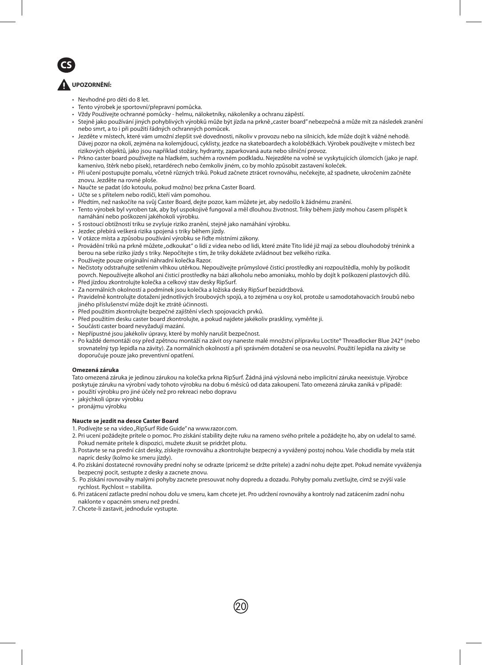

- Nevhodné pro děti do 8 let.
- Tento výrobek je sportovní/přepravní pomůcka.
- Vždy Používejte ochranné pomůcky helmu, náloketníky, nákoleníky a ochranu zápěstí.
- Stejně jako používání jiných pohyblivých výrobků může být jízda na prkně "caster board" nebezpečná a může mít za následek zranění nebo smrt, a to i při použití řádných ochranných pomůcek.
- Jezděte v místech, které vám umožní zlepšit své dovednosti, nikoliv v provozu nebo na silnicích, kde může dojít k vážné nehodě. Dávej pozor na okolí, zejména na kolemjdoucí, cyklisty, jezdce na skateboardech a koloběžkách. Výrobek používejte v místech bez rizikových objektů, jako jsou například stožáry, hydranty, zaparkovaná auta nebo silniční provoz.
- Prkno caster board používejte na hladkém, suchém a rovném podkladu. Nejezděte na volně se vyskytujících úlomcích (jako je např. kamenivo, štěrk nebo písek), retardérech nebo čemkoliv jiném, co by mohlo způsobit zastavení koleček.
- Při učení postupujte pomalu, včetně různých triků. Pokud začnete ztrácet rovnováhu, nečekejte, až spadnete, ukročením začněte znovu. Jezděte na rovné ploše.
- Naučte se padat (do kotoulu, pokud možno) bez prkna Caster Board.
- Učte se s přítelem nebo rodiči, kteří vám pomohou.
- Předtím, než naskočíte na svůj Caster Board, dejte pozor, kam můžete jet, aby nedošlo k žádnému zranění.
- Tento výrobek byl vyroben tak, aby byl uspokojivě fungoval a měl dlouhou životnost. Triky během jízdy mohou časem přispět k namáhání nebo poškození jakéhokoli výrobku.
- S rostoucí obtížností triku se zvyšuje riziko zranění, stejně jako namáhání výrobku.
- Jezdec přebírá veškerá rizika spojená s triky během jízdy.
- V otázce místa a způsobu používání výrobku se řiďte místními zákony.
- · Provádění triků na prkně můžete "odkoukat" o lidí z videa nebo od lidi, které znáte Tito lidé již mají za sebou dlouhodobý trénink a berou na sebe riziko jízdy s triky. Nepočítejte s tím, že triky dokážete zvládnout bez velkého rizika.
- Používejte pouze originální náhradní kolečka Razor.
- Nečistoty odstraňujte setřením vlhkou utěrkou. Nepoužívejte průmyslové čisticí prostředky ani rozpouštědla, mohly by poškodit povrch. Nepoužívejte alkohol ani čisticí prostředky na bázi alkoholu nebo amoniaku, mohlo by dojít k poškození plastových dílů.
- Před jízdou zkontrolujte kolečka a celkový stav desky RipSurf.
- Za normálních okolností a podmínek jsou kolečka a ložiska desky RipSurf bezúdržbová.
- Pravidelně kontrolujte dotažení jednotlivých šroubových spojů, a to zejména u osy kol, protože u samodotahovacích šroubů nebo jiného příslušenství může dojít ke ztrátě účinnosti.
- Před použitím zkontrolujte bezpečné zajištění všech spojovacích prvků.
- Před použitím desku caster board zkontrolujte, a pokud najdete jakékoliv praskliny, vyměňte ji.
- Součásti caster board nevyžadují mazání.
- Nepřípustné jsou jakékoliv úpravy, které by mohly narušit bezpečnost.
- Po každé demontáži osy před zpětnou montáží na závit osy naneste malé množství přípravku Loctite® Threadlocker Blue 242® (nebo srovnatelný typ lepidla na závity). Za normálních okolností a při správném dotažení se osa neuvolní. Použití lepidla na závity se doporučuje pouze jako preventivní opatření.

#### **Omezená záruka**

Tato omezená záruka je jedinou zárukou na kolečka prkna RipSurf. Žádná jiná výslovná nebo implicitní záruka neexistuje. Výrobce poskytuje záruku na výrobní vady tohoto výrobku na dobu 6 měsíců od data zakoupení. Tato omezená záruka zaniká v případě:

- použití výrobku pro jiné účely než pro rekreaci nebo dopravu
- jakýchkoli úprav výrobku
- pronájmu výrobku

#### **Naucte se jezdit na desce Caster Board**

- 1. Podívejte se na video "RipSurf Ride Guide" na www.razor.com.
- 2. Pri ucení požádejte prítele o pomoc. Pro získání stability dejte ruku na rameno svého prítele a požádejte ho, aby on udelal to samé. Pokud nemáte prítele k dispozici, mužete zkusit se pridržet plotu.
- 3. Postavte se na prední cást desky, získejte rovnováhu a zkontrolujte bezpecný a vyvážený postoj nohou. Vaše chodidla by mela stát napríc desky (kolmo ke smeru jízdy).
- 4. Po získání dostatecné rovnováhy prední nohy se odrazte (pricemž se držte prítele) a zadní nohu dejte zpet. Pokud nemáte vyváženýa bezpecný pocit, sestupte z desky a zacnete znovu.
- 5. Po získání rovnováhy malými pohyby zacnete presouvat nohy dopredu a dozadu. Pohyby pomalu zvetšujte, címž se zvýší vaše rychlost. Rychlost = stabilita.
- 6. Pri zatácení zatlacte prední nohou dolu ve smeru, kam chcete jet. Pro udržení rovnováhy a kontroly nad zatácením zadní nohu naklonte v opacném smeru než prední.

20

7. Chcete-li zastavit, jednoduše vystupte.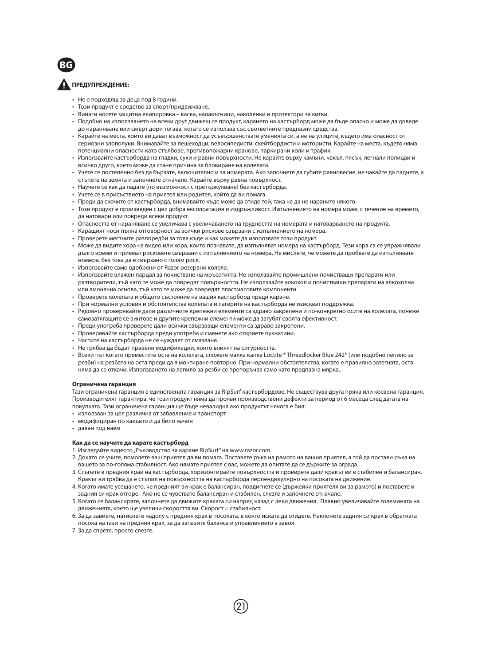## **ПРЕДУПРЕЖДЕНИЕ:**

- Не е подходящ за деца под 8 години.
- Този продукт е средство за спорт/придвижване.
- Винаги носете защитна екипировка каска, налакътници, наколенки и протектори за китки.
- Подобно на използването на всеки друг движещ се продукт, карането на кастърборд може да бъде опасно и може да доведе до нараняване или смърт дори тогава, когато се използва със съответните предпазни средства.
- Карайте на места, които ви дават възможност да усъвършенствате уменията си, а не на улиците, където има опасност от сериозни злополуки. Внимавайте за пешеходци, велосипедисти, скейтбордисти и мотористи. Карайте на места, където няма потенциални опасности като стълбове, противопожарни кранове, паркирани коли и трафик.
- Използвайте кастърборда на гладки, сухи и равни повърхности. Не карайте върху камъни, чакъл, пясък, легнали полицаи и всичко друго, което може да стане причина за блокиране на колелата.
- Учете се постепенно без да бързате, включително и за номерата. Ако започнете да губите равновесие, не чакайте да паднете, а стъпете на земята и започнете отначало. Карайте върху равна повърхност.
- Научете се как да падате (по възможност с претъркулване) без кастърборда.
- Учете се в присъствието на приятел или родител, който да ви помага.
- Преди да скочите от кастърборда, внимавайте къде може да отиде той, така че да не нараните някого.
- Този продукт е произведен с цел добра експлоатация и издръжливост. Изпълнението на номера може, с течение на времето, да натовари или повреди всеки продукт.
- Опасността от нараняване се увеличава с увеличаването на трудността на номерата и натоварването на продукта.
- Каращият носи пълна отговорност за всички рискове свързани с изпълнението на номера.
- Проверете местните разпоредби за това къде и как можете да използвате този продукт.
- Може да видите хора на видео или хора, които познавате, да изпълняват номера на кастърборд. Тези хора са се упражнявали дълго време и приемат рисковете свързани с изпълнението на номера. Не мислете, че можете да пробвате да изпълнявате номера, без това да е свързано с голям риск.
- Използвайте само одобрени от Razor резервни колела.
- Използвайте влажен парцал за почистване на мръсотията. Не използвайте промишлени почистващи препарати или разтворители, тъй като те може да повредят повърхността. Не използвайте алкохол и почистващи препарати на алкохолна или амонячна основа, тъй като те може да повредят пластмасовите компоненти.
- Проверете колелата и общото състояние на вашия кастърборд преди каране.
- При нормални условия и обстоятелства колелата и лагерите на кастърборда не изискват поддръжка.
- Редовно проверявайте дали различните крепежни елементи са здраво закрепени и по-конкретно осите на колелата, понеже самозатягащите се винтове и другите крепежни елементи може да загубят своята ефективност.
- Преди употреба проверете дали всички свързващи елементи са здраво закрепени.
- Проверявайте кастърборда преди употреба и сменете ако откриете пукнатини.
- Частите на кастърборда не се нуждаят от смазване.
- Не трябва да бъдат правени модификации, които влияят на сигурността.
- Всеки път когато преместите оста на колелата, сложете малка капка Loctite ® Threadlocker Blue 242® (или подобно лепило за резби) на резбата на оста преди да я монтиране повторно. При нормални обстоятелства, когато е правилно затегната, оста няма да се откачи. Използването на лепило за резби се препоръчва само като предпазна мярка..

#### **Ограничена гаранция**

Тази ограничена гаранция е единствената гаранция за RipSurf кастърбордове. Не съществува друга пряка или косвена гаранция. Производителят гарантира, че този продукт няма да прояви производствени дефекти за период от 6 месеца след датата на покупката. Тази ограничена гаранция ще бъде невалидна ако продуктът някога е бил:

- използван за цел различна от забавление и транспорт
- модифициран по какъвто и да било начин
- даван под наем

#### **Как да се научите да карате кастърборд**

1. Изгледайте видеото "Ръководство за каране RipSurf" на www.razor.com.

- 2. Докато се учите, помолете ваш приятел да ви помага. Поставете ръка на рамото на вашия приятел, а той да постави ръка на вашето за по-голяма стабилност. Ако нямате приятел с вас, можете да опитате да се държите за ограда.
- 3. Стъпете в предния край на кастърборда, хоризонтирайте повърхността и проверете дали кракът ви е стабилен и балансиран. Кракът ви трябва да е стъпил на повърхността на кастърборда перпендикулярно на посоката на движение.
- 4. Когато имате усещането, че предният ви крак е балансиран, повдигнете се (държейки приятеля ви за рамото) и поставете и задния си крак отгоре. Ако не се чувствате балансиран и стабилен, слезте и започнете отначало.
- 5. Когато се балансирате, започнете да движите краката си напред назад с леки движения. Плавно увеличавайте големината на движенията, което ще увеличи скоростта ви. Скорост = стабилност.
- 6. За да завиете, натиснете надолу с предния крак в посоката, в която искате да отидете. Наклонете задния си крак в обратната посока на тази на предния крак, за да запазите баланса и управлението в завоя.
- 7. За да спрете, просто слезте.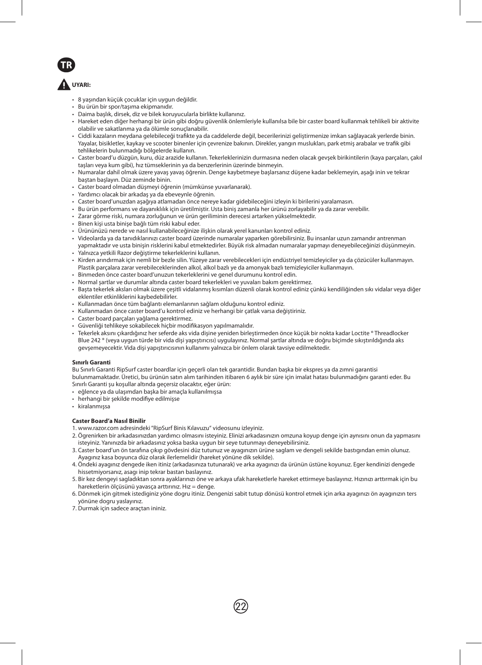

## **UYARI:**

- 8 yaşından küçük çocuklar için uygun değildir.
- Bu ürün bir spor/taşıma ekipmanıdır.
- Daima başlık, dirsek, diz ve bilek koruyucularla birlikte kullanınız.
- Hareket eden diğer herhangi bir ürün gibi doğru güvenlik önlemleriyle kullanılsa bile bir caster board kullanmak tehlikeli bir aktivite olabilir ve sakatlanma ya da ölümle sonuçlanabilir.
- Ciddi kazaların meydana gelebileceği trafikte ya da caddelerde değil, becerilerinizi geliştirmenize imkan sağlayacak yerlerde binin. Yayalar, bisikletler, kaykay ve scooter binenler için çevrenize bakının. Direkler, yangın muslukları, park etmiş arabalar ve trafik gibi tehlikelerin bulunmadığı bölgelerde kullanın.
- Caster board'u düzgün, kuru, düz arazide kullanın. Tekerleklerinizin durmasına neden olacak gevşek birikintilerin (kaya parçaları, çakıl taşları veya kum gibi), hız tümseklerinin ya da benzerlerinin üzerinde binmeyin.
- Numaralar dahil olmak üzere yavaş yavaş öğrenin. Denge kaybetmeye başlarsanız düşene kadar beklemeyin, aşağı inin ve tekrar baştan başlayın. Düz zeminde binin.
- Caster board olmadan düşmeyi öğrenin (mümkünse yuvarlanarak).
- Yardımcı olacak bir arkadaş ya da ebeveynle öğrenin.
- Caster board'unuzdan aşağıya atlamadan önce nereye kadar gidebileceğini izleyin ki birilerini yaralamasın.
- Bu ürün performans ve dayanıklılık için üretilmiştir. Usta biniş zamanla her ürünü zorlayabilir ya da zarar verebilir.
- Zarar görme riski, numara zorluğunun ve ürün geriliminin derecesi artarken yükselmektedir.
- Binen kişi usta binişe bağlı tüm riski kabul eder.
- Ürününüzü nerede ve nasıl kullanabileceğinize ilişkin olarak yerel kanunları kontrol ediniz.
- Videolarda ya da tanıdıklarınızı caster board üzerinde numaralar yaparken görebilirsiniz. Bu insanlar uzun zamandır antrenman yapmaktadır ve usta binişin risklerini kabul etmektedirler. Büyük risk almadan numaralar yapmayı deneyebileceğinizi düşünmeyin.
- Yalnızca yetkili Razor değiştirme tekerleklerini kullanın.
- Kirden arındırmak için nemli bir bezle silin. Yüzeye zarar verebilecekleri için endüstriyel temizleyiciler ya da çözücüler kullanmayın. Plastik parçalara zarar verebileceklerinden alkol, alkol bazlı ye da amonyak bazlı temizleyiciler kullanmayın.
- Binmeden önce caster board'unuzun tekerleklerini ve genel durumunu kontrol edin.
- Normal şartlar ve durumlar altında caster board tekerlekleri ve yuvaları bakım gerektirmez.
- Başta tekerlek aksları olmak üzere çeşitli vidalanmış kısımları düzenli olarak kontrol ediniz çünkü kendiliğinden sıkı vidalar veya diğer eklentiler etkinliklerini kaybedebilirler.
- Kullanmadan önce tüm bağlantı elemanlarının sağlam olduğunu kontrol ediniz.
- Kullanmadan önce caster board'u kontrol ediniz ve herhangi bir çatlak varsa değiştiriniz.
- Caster board parçaları yağlama gerektirmez.
- Güvenliği tehlikeye sokabilecek hiçbir modifikasyon yapılmamalıdır.
- Tekerlek aksını çıkardığınız her seferde aks vida dişine yeniden birleştirmeden önce küçük bir nokta kadar Loctite ® Threadlocker Blue 242 ® (veya uygun türde bir vida dişi yapıştırıcısı) uygulayınız. Normal şartlar altında ve doğru biçimde sıkıştırıldığında aks gevşemeyecektir. Vida dişi yapıştırıcısının kullanımı yalnızca bir önlem olarak tavsiye edilmektedir.

#### **Sınırlı Garanti**

Bu Sınırlı Garanti RipSurf caster boardlar için geçerli olan tek garantidir. Bundan başka bir ekspres ya da zımni garantisi bulunmamaktadır. Üretici, bu ürünün satın alım tarihinden itibaren 6 aylık bir süre için imalat hatası bulunmadığını garanti eder. Bu Sınırlı Garanti şu koşullar altında geçersiz olacaktır, eğer ürün:

- eğlence ya da ulaşımdan başka bir amaçla kullanılmışsa
- herhangi bir şekilde modifiye edilmişse
- kiralanmışsa

#### **Caster Board'a Nasıl Binilir**

- 1. www.razor.com adresindeki "RipSurf Binis Kılavuzu" videosunu izleyiniz.
- 2. Ögrenirken bir arkadasınızdan yardımcı olmasını isteyiniz. Elinizi arkadasınızın omzuna koyup denge için aynısını onun da yapmasını isteyiniz. Yanınızda bir arkadasınız yoksa baska uygun bir seye tutunmayı deneyebilirsiniz.
- 3. Caster board'un ön tarafına çıkıp gövdesini düz tutunuz ve ayagınızın ürüne saglam ve dengeli sekilde bastıgından emin olunuz. Ayagınız kasa boyunca düz olarak ilerlemelidir (hareket yönüne dik sekilde).
- 4. Öndeki ayagınız dengede iken itiniz (arkadasınıza tutunarak) ve arka ayagınızı da ürünün üstüne koyunuz. Eger kendinizi dengede hissetmiyorsanız, asagı inip tekrar bastan baslayınız.
- 5. Bir kez dengeyi sagladıktan sonra ayaklarınızı öne ve arkaya ufak hareketlerle hareket ettirmeye baslayınız. Hızınızı arttırmak için bu hareketlerin ölçüsünü yavasça arttırınız. Hız = denge.
- 6. Dönmek için gitmek istediginiz yöne dogru itiniz. Dengenizi sabit tutup dönüsü kontrol etmek için arka ayagınızı ön ayagınızın ters yönüne dogru yaslayınız.

22

7. Durmak için sadece araçtan ininiz.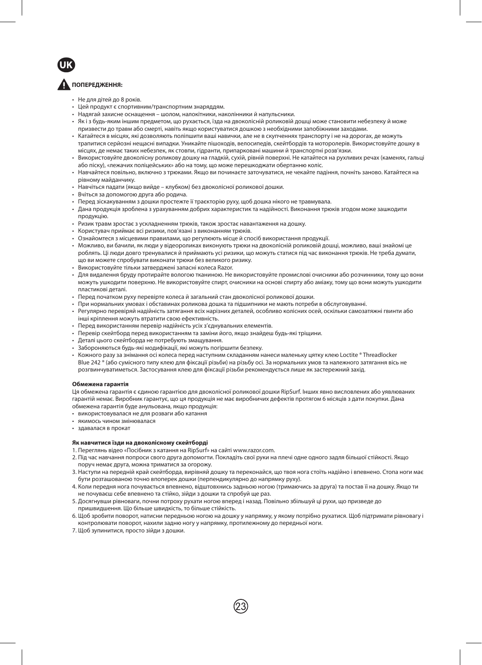## **ПОПЕРЕДЖЕННЯ:**

- Не для дітей до 8 років.
- Цей продукт є спортивним/транспортним знаряддям.
- Надягай захисне оснащення шолом, налокітники, наколінники й напульсники.
- Як і з будь-яким іншим предметом, що рухається, їзда на двоколісній роликовій дошці може становити небезпеку й може призвести до травм або смерті, навіть якщо користуватися дошкою з необхідними запобіжними заходами.
- Катайтеся в місцях, які дозволяють поліпшити ваші навички, але не в скупченнях транспорту і не на дорогах, де можуть трапитися серйозні нещасні випадки. Уникайте пішоходів, велосипедів, скейтбордів та моторолерів. Використовуйте дошку в
- місцях, де немає таких небезпек, як стовпи, гідранти, припарковані машини й транспортні розв'язки.
- Використовуйте двоколісну роликову дошку на гладкій, сухій, рівній поверхні. Не катайтеся на рухливих речах (каменях, гальці або піску), «лежачих поліцейських» або на тому, що може перешкоджати обертанню коліс.
- Навчайтеся повільно, включно з трюками. Якщо ви починаєте заточуватися, не чекайте падіння, почніть заново. Катайтеся на рівному майданчику.
- Навчіться падати (якщо вийде клубком) без двоколісної роликової дошки.
- Вчіться за допомогою друга або родича.
- Перед зіскакуванням з дошки простежте її траєкторію руху, щоб дошка нікого не травмувала.
- Дана продукція зроблена з урахуванням добрих характеристик та надійності. Виконання трюків згодом може зашкодити продукцію.
- Ризик травм зростає з ускладненням трюків, також зростає навантаження на дошку.
- Користувач приймає всі ризики, пов'язані з виконанням трюків.
- Ознайомтеся з місцевими правилами, що регулюють місце й спосіб використання продукції.
- Можливо, ви бачили, як люди у відеороликах виконують трюки на двоколісній роликовій дошці, можливо, ваші знайомі це роблять. Ці люди довго тренувалися й приймають усі ризики, що можуть статися під час виконання трюків. Не треба думати, що ви можете спробувати виконати трюки без великого ризику.
- Використовуйте тільки затверджені запасні колеса Razor.
- Для видалення бруду протирайте вологою тканиною. Не використовуйте промислові очисники або розчинники, тому що вони можуть ушкодити поверхню. Не використовуйте спирт, очисники на основі спирту або аміаку, тому що вони можуть ушкодити пластикові деталі.
- Перед початком руху перевірте колеса й загальний стан двоколісної роликової дошки.
- При нормальних умовах і обставинах роликова дошка та підшипники не мають потреби в обслуговуванні.
- Регулярно перевіряй надійність затягання всіх нарізних деталей, особливо колісних осей, оскільки самозатяжні гвинти або
- інші кріплення можуть втратити свою ефективність.
- Перед використанням перевір надійність усіх з'єднувальних елементів.
- Перевір скейтборд перед використанням та заміни його, якщо знайдеш будь-які тріщини.
- Деталі цього скейтборда не потребують змащування.
- Забороняються будь-які модифікації, які можуть погіршити безпеку.
- Кожного разу за знімання осі колеса перед наступним складанням нанеси маленьку цятку клею Loctite ® Threadlocker Blue 242 ® (або сумісного типу клею для фіксації різьби) на різьбу осі. За нормальних умов та належного затягання вісь не розгвинчуватиметься. Застосування клею для фіксації різьби рекомендується лише як застережний захід.

#### **Обмежена гарантія**

Ця обмежена гарантія є єдиною гарантією для двоколісної роликової дошки RipSurf. Інших явно висловлених або уявлюваних гарантій немає. Виробник гарантує, що ця продукція не має виробничих дефектів протягом 6 місяців з дати покупки. Дана обмежена гарантія буде анульована, якщо продукція:

- використовувалася не для розваги або катання
- якимось чином змінювалася
- здавалася в прокат

#### **Як навчитися їзди на двоколісному скейтборді**

1. Переглянь відео «Посібник з катання на RipSurf» на сайті www.razor.com.

- 2. Під час навчання попроси свого друга допомогти. Покладіть свої руки на плечі одне одного задля більшої стійкості. Якщо поруч немає друга, можна триматися за огорожу.
- 3. Наступи на передній край скейтборда, вирівняй дошку та переконайся, що твоя нога стоїть надійно і впевнено. Стопа ноги має бути розташованою точно впоперек дошки (перпендикулярно до напрямку руху).
- 4. Коли передня нога почувається впевнено, відштовхнись задньою ногою (тримаючись за друга) та постав її на дошку. Якщо ти не почуваєш себе впевнено та стійко, зійди з дошки та спробуй ще раз.
- 5. Досягнувши рівноваги, почни потроху рухати ногою вперед і назад. Повільно збільшуй ці рухи, що призведе до пришвидшення. Що більше швидкість, то більше стійкість.
- 6. Щоб зробити поворот, натисни передньою ногою на дошку у напрямку, у якому потрібно рухатися. Щоб підтримати рівновагу і контролювати поворот, нахили задню ногу у напрямку, протилежному до передньої ноги.

23

7. Щоб зупинитися, просто зійди з дошки.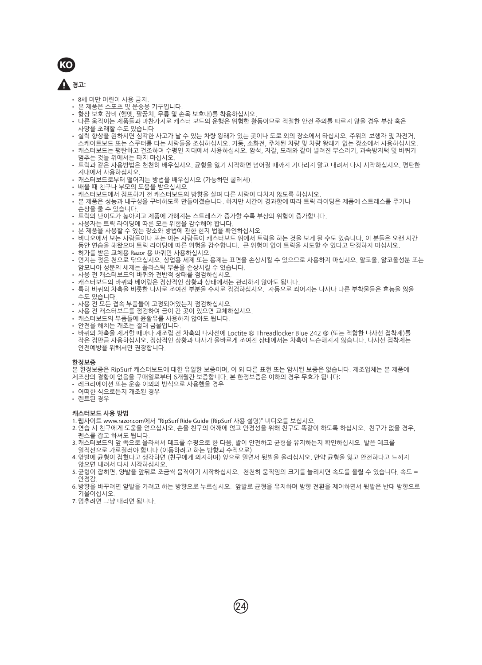**KO**

## **경고:**

- 8세 미만 어린이 사용 금지.
- 본 제품은 스포츠 및 운송용 기구입니다.
- 항상 보호 장비 (헬멧, 팔꿈치, 무릎 및 손목 보호대)를 착용하십시오.
- 다른 움직이는 제품들과 마찬가지로 캐스터 보드의 운행은 위험한 활동이므로 적절한 안전 주의를 따르지 않을 경우 부상 혹은 사망을 초래할 수도 있습니다.
- 실력 향상을 원하시면 심각한 사고가 날 수 있는 차량 왕래가 있는 곳이나 도로 외의 장소에서 타십시오. 주위의 보행자 및 자전거,<br>- 스케이트보드 또는 스쿠터를 타는 사람들을 조심하십시오. 기둥, 소화전, 주차된 차량 및 차량 왕래가 없는 장소에서 사용하십시오.
- 캐스터보드는 평탄하고 건조하며 수평인 지대에서 사용하십시오. 암석, 자갈, 모래와 같이 널려진 부스러기, 과속방지턱 및 바퀴가 멈추는 것들 위에서는 타지 마십시오.
- 트릭과 같은 사용방법은 천천히 배우십시오. 균형을 잃기 시작하면 넘어질 때까지 기다리지 말고 내려서 다시 시작하십시오. 평탄한 지대에서 사용하십시오.
- 캐스터보드로부터 떨어지는 방법을 배우십시오 (가능하면 굴러서).
- 배울 때 친구나 부모의 도움을 받으십시오.
- 캐스터보드에서 점프하기 전 캐스터보드의 방향을 살펴 다른 사람이 다치지 않도록 하십시오.
- 본 제품은 성능과 내구성을 구비하도록 만들어졌습니다. 하지만 시간이 경과함에 따라 트릭 라이딩은 제품에 스트레스를 주거나 손상을 줄 수 있습니다.
- 트릭의 난이도가 높아지고 제품에 가해지는 스트레스가 증가할 수록 부상의 위험이 증가합니다.
- 사용자는 트릭 라이딩에 따른 모든 위험을 감수해야 합니다.
- 본 제품을 사용할 수 있는 장소와 방법에 관한 현지 법을 확인하십시오.
- 비디오에서 보는 사람들이나 또는 아는 사람들이 캐스터보드 위에서 트릭을 하는 것을 보게 될 수도 있습니다. 이 분들은 오랜 시간 동안 연습을 해왔으며 트릭 라이딩에 따른 위험을 감수합니다. 큰 위험이 없이 트릭을 시도할 수 있다고 단정하지 마십시오.
- 허가를 받은 교체용 Razor 용 바퀴만 사용하십시오.
- 먼지는 젖은 천으로 닦으십시오. 상업용 세제 또는 용제는 표면을 손상시킬 수 있으므로 사용하지 마십시오. 알코올, 알코올성분 또는 암모니아 성분의 세제는 플라스틱 부품을 손상시킬 수 있습니다.
- 사용 전 캐스터보드의 바퀴와 전반적 상태를 점검하십시오
- 캐스터보드의 바퀴와 베어링은 정상적인 상황과 상태에서는 관리하지 않아도 됩니다.
- 특히 바퀴의 차축을 비롯한 나사로 조여진 부분을 수시로 점검하십시오. 자동으로 죄어지는 나사나 다른 부착물들은 효능을 잃을 수도 있습니다.
- 사용 전 모든 접속 부품들이 고정되어있는지 점검하십시오.
- 사용 전 캐스터보드를 점검하여 금이 간 곳이 있으면 교체하십시오.
- 캐스터보드의 부품들에 윤활유를 사용하지 않아도 됩니다.
- 안전을 해치는 개조는 절대 금물입니다.
- 바퀴의 차축을 제거할 때마다 재조립 전 차축의 나사선에 Loctite ® Threadlocker Blue 242 ® (또는 적합한 나사선 접착제)를 작은 점만큼 사용하십시오. 정상적인 상황과 나사가 올바르게 조여진 상태에서는 차축이 느슨해지지 않습니다. 나사선 접착제는 안전예방을 위해서만 권장합니다.

#### **한정보증**

본 한정보증은 RipSurf 캐스터보드에 대한 유일한 보증이며, 이 외 다른 표현 또는 암시된 보증은 없습니다. 제조업체는 본 제품에 제조상의 결함이 없음을 구매일로부터 6개월간 보증합니다. 본 한정보증은 이하의 경우 무효가 됩니다:

- 레크리에이션 또는 운송 이외의 방식으로 사용했을 경우 어떠한 식으로든지 개조된 경우
- 
- 렌트된 경우

#### **캐스터보드 사용 방법**

1. 웹사이트 www.razor.com에서 "RipSurf Ride Guide (RipSurf 사용 설명)" 비디오를 보십시오.

- 2. 연습 시 친구에게 도움을 얻으십시오. 손을 친구의 어깨에 얹고 안정성을 위해 친구도 똑같이 하도록 하십시오. 친구가 없을 경우, 펜스를 잡고 하셔도 됩니다.
- 3. 캐스터보드의 앞 쪽으로 올라서서 데크를 수평으로 한 다음, 발이 안전하고 균형을 유지하는지 확인하십시오. 발은 데크를 일직선으로 가로질러야 합니다 (이동하려고 하는 방향과 수직으로)
- 4. 앞발에 균형이 잡혔다고 생각하면 (친구에게 의지하며) 앞으로 밀면서 뒷발을 올리십시오. 만약 균형을 잃고 안전하다고 느끼지 않으면 내려서 다시 시작하십시오.
- 5. 균형이 잡히면, 양발을 앞뒤로 조금씩 움직이기 시작하십시오. 천천히 움직임의 크기를 늘리시면 속도를 올릴 수 있습니다. 속도 = 안정감.
- 6. 방향을 바꾸려면 앞발을 가려고 하는 방향으로 누르십시오. 앞발로 균형을 유지하며 방향 전환을 제어하면서 뒷발은 반대 방향으로 기울이십시오.

24

7. 멈추려면 그냥 내리면 됩니다.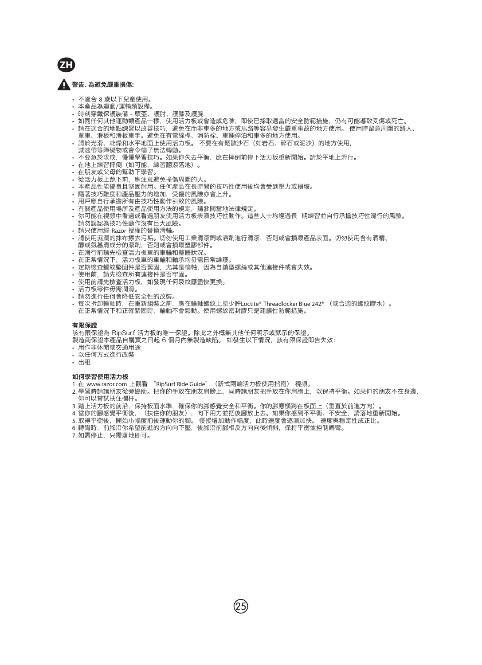## 警告. 為避免嚴重損傷:

**ZH**

- 不適合 8 歲以下兒童使用。
- 本產品為運動/運輸類設備。
- 時刻穿戴保護裝備 頭盔、護肘、護膝及護腕.
- 如同任何其他運動類產品一樣, 使用活力板或會造成危險, 即使已採取適當的安全防範措施, 仍有可能導致受傷或死亡
- 請在適合的地點練習以改善技巧,避免在而非車多的地方或馬路等容易發生嚴重事故的地方使用。 使用時留意周圍的路人、 單車、滑板和滑板車手。避免在有電線桿、消防栓、車輛停泊和車多的地方使用。
- 請於光滑、乾燥和水平地面上使用活力板。 不要在有鬆散沙石(如岩石、碎石或泥沙)的地方使用, 減速帶等障礙物或會令輪子無法轉動。
- 不要急於求成,慢慢學習技巧。如果你失去平衡,應在摔倒前停下活力板重新開始。請於平地上滑行。
- 在地上練習摔倒(如可能,練習翻滾落地)。
- 在朋友或父母的幫助下學習。
- 從活力板上跳下前, 應注意避免撞傷周圍的人。
- 本產品性能優良且堅固耐用。任何產品在長時間的技巧性使用後均會受到壓力或損壞。
- 隨著技巧難度和產品壓力的增加,受傷的風險亦會上升。
- 用戶應自行承擔所有由技巧性動作引致的風險。
- 有關產品使用場所及產品使用方法的規定,請參閱當地法律規定。
- 你可能在視頻中看過或看過朋友使用活力板表演技巧性動作。這些人士均經過長 期練習並自行承擔技巧性滑行的風險。 請勿誤認為技巧性動作沒有巨大風險。
- 請只使用經 Razor 授權的替換滑輪。
- 請使用濕潤的抹布擦去污垢。切勿使用工業清潔劑或溶劑進行清潔,否則或會損壞產品表面。切勿使用含有酒精、 醇或氨基清成分的潔劑,否則或會損壞塑膠部件。
- 在滑行前請先檢查活力板車的車輪和整體狀況。
- 在正常情況下,活力板車的車輪和軸承均毋需日常維護。
- 定期檢查螺紋堅固件是否緊固, 尤其是輪軸, 因為自鎖型螺絲或其他連接件或會失效。
- 使用前,請先檢查所有連接件是否牢固。
- 使用前請先檢查活力板,如發現任何裂紋應盡快更換。
- 活力板零件毋需潤滑
- 請勿進行任何會降低安全性的改裝。
- 每次拆卸輪軸時,在重新組裝之前,應在輪軸螺紋上塗少許Loctite® Threadlocker Blue 242® (或合適的螺紋膠水)。
- 在正常情況下和正確緊固時,輪軸不會鬆動。使用螺紋密封膠只是建議性防範措施。

#### 有限保證

該有限保證為 RipSurf 活力板的唯一保證。除此之外概無其他任何明示或默示的保證。

- 製造商保證本產品自購買之日起 6 個月內無製造缺陷。 如發生以下情況,該有限保證即告失效:
- 用作非休閒或交通用途
- 以任何方式進行改裝
- 出租

#### 如何學習使用活力板

- 1. 在 www.razor.com 上觀看 "RipSurf Ride Guide"(新式兩輪活力板使用指南) 視頻。
- 2. 學習時請讓朋友從旁協助。把你的手放在朋友肩膀上,同時讓朋友把手放在你肩膀上, 以保持平衡。如果你的朋友不在身邊, 你可以嘗試扶住欄杆。
- 3. 踏上活力板的前沿,保持板面水準,確保你的腳感覺安全和平衡。你的腳應橫跨在板面上(垂直於前進方向)
- 
- 4. 當你的腳感覺平衡後, (扶住你的朋友),向下用力並把後腳放上去。如果你感到不平衡、不安全,請落地重新開始。<br>5. 取得平衡後, 開始小幅度前後運動你的腳。 慢慢增加動作幅度,此時速度會逐漸加快。 速度與穩定性成正比。<br>6. 轉彎時,前腳沿你希望前進的方向向下壓,後腳沿前腳相反方向向後傾斜,保持平衡並控制轉彎。
- 
- 7. 如需停止,只需落地即可。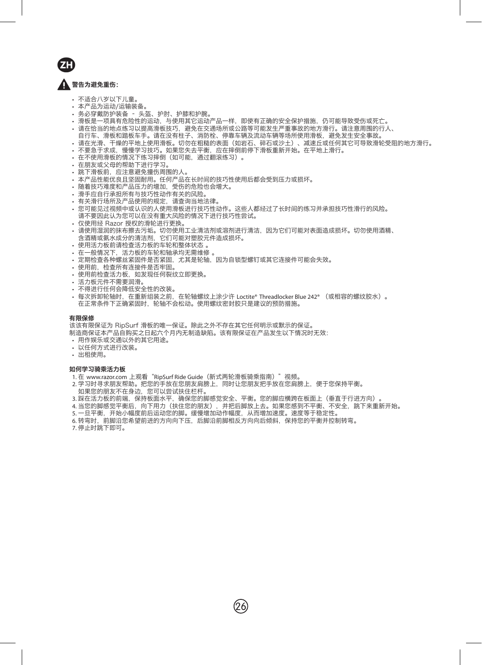## ▲ 警告为避免重伤:

- 不适合八岁以下儿童。
- 本产品为运动/运输装备。
- 务必穿戴防护装备 头盔、护肘、护膝和护腕。
- 滑板是一项具有危险性的运动,与使用其它运动产品一样,即使有正确的安全保护措施,仍可能导致受伤或死亡。
- 请在恰当的地点练习以提高滑板技巧,避免在交通场所或公路等可能发生严重事故的地方滑行。请注意周围的行人、
- 自行车、滑板和踏板车手。请在没有柱子、消防栓、停靠车辆及流动车辆等场所使用滑板,避免发生安全事故。
- 请在光滑、干燥的平地上使用滑板。切勿在粗糙的表面(如岩石、碎石或沙土)、减速丘或任何其它可导致滑轮受阻的地方滑行。
- 不要急于求成,慢慢学习技巧。如果您失去平衡,应在摔倒前停下滑板重新开始。在平地上滑行。
- 在不使用滑板的情况下练习摔倒(如可能,通过翻滚练习)。
- 在朋友或父母的帮助下进行学习
- 跳下滑板前,应注意避免撞伤周围的人。
- 本产品性能优良且坚固耐用。任何产品在长时间的技巧性使用后都会受到压力或损坏。 随着技巧难度和产品压力的增加,受伤的危险也会增大。
- 
- 滑手应自行承担所有与技巧性动作有关的风险。
- 有关滑行场所及产品使用的规定,请查询当地法律。
- 您可能见过视频中或认识的人使用滑板进行技巧性动作。这些人都经过了长时间的练习并承担技巧性滑行的风险。 请不要因此认为您可以在没有重大风险的情况下进行技巧性尝试。
- 仅使用经 Razor 授权的滑轮进行更换。
- 请使用湿润的抹布擦去污垢。切勿使用工业清洁剂或溶剂进行清洁,因为它们可能对表面造成损坏。切勿使用酒精、 含酒精或氨水成分的清洁剂,它们可能对塑胶元件造成损坏。
- 使用活力板前请检查活力板的车轮和整体状态
- 在一般情况下,活力板的车轮和轴承均无需维修 。
- 立 "总局"。, ……。, …… , …… , …… , …… , …… , …… , <br>• 定期检查各种螺丝紧固件是否紧固,尤其是轮轴,因为自锁型螺钉或其它连接件可能会失效。
- 使用前,检查所有连接件是否牢固。
- 使用前检查活力板, 如发现任何裂纹立即更换。
- 活力板元件不需要润滑。
- 
- 不得进行任何会降低安全性的改装。 每次拆卸轮轴时,在重新组装之前,在轮轴螺纹上涂少许 Loctite® Threadlocker Blue 242® (或相容的螺纹胶水)。 在正常条件下正确紧固时,轮轴不会松动。使用螺纹密封胶只是建议的预防措施。

#### 有限保修

该该有限保证为 RipSurf 滑板的唯一保证。除此之外不存在其它任何明示或默示的保证。

制造商保证本产品自购买之日起六个月内无制造缺陷。该有限保证在产品发生以下情况时无效:

- 用作娱乐或交通以外的其它用途。
- 以任何方式进行改装。
- 出租使用。

#### 如何学习骑乘活力板

- 1. 在 www.razor.com 上观看 "RipSurf Ride Guide(新式两轮滑板骑乘指南)"视频。
- 2. 学习时寻求朋友帮助。把您的手放在您朋友肩膀上,同时让您朋友把手放在您肩膀上,便于您保持平衡。 如果您的朋友不在身边,您可以尝试扶住栏杆。
- 3. 踩在活力板的前端, 保持板面水平, 确保您的脚感觉安全、平衡。您的脚应横跨在板面上(垂直于行进方向)
- 4. 当您的脚感觉平衡后,向下用力(扶住您的朋友),并把后脚放上去。如果您感到不平衡、不安全,跳下来重新开始。<br>5. 一旦平衡,开始小幅度前后运动您的脚。缓慢增加动作幅度,从而增加速度。速度等于稳定性。
- 
- 6. 转弯时,前脚沿您希望前进的方向向下压,后脚沿前脚相反方向向后倾斜,保持您的平衡并控制转弯。
- 7. 停止时跳下即可。

26